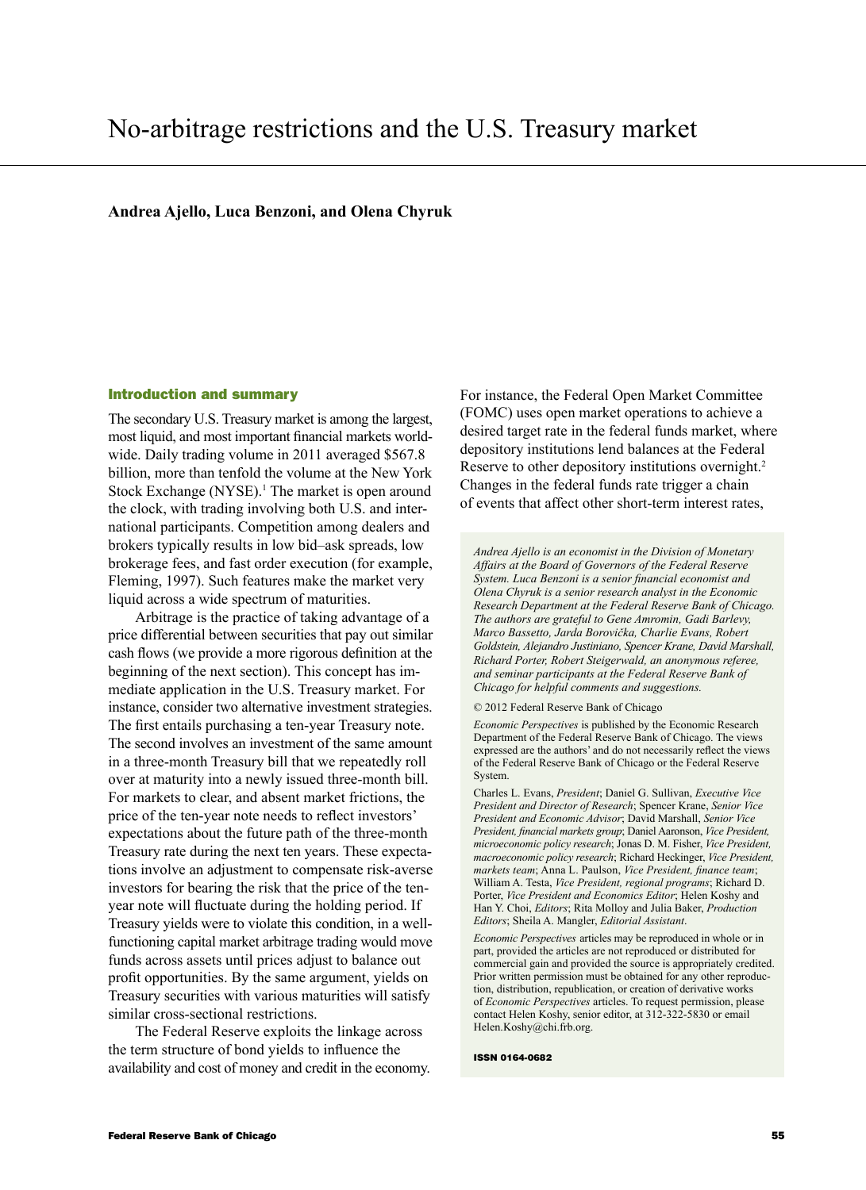# **Andrea Ajello, Luca Benzoni, and Olena Chyruk**

#### Introduction and summary

The secondary U.S. Treasury market is among the largest, most liquid, and most important financial markets worldwide. Daily trading volume in 2011 averaged \$567.8 billion, more than tenfold the volume at the New York Stock Exchange (NYSE).<sup>1</sup> The market is open around the clock, with trading involving both U.S. and international participants. Competition among dealers and brokers typically results in low bid–ask spreads, low brokerage fees, and fast order execution (for example, Fleming, 1997). Such features make the market very liquid across a wide spectrum of maturities.

Arbitrage is the practice of taking advantage of a price differential between securities that pay out similar cash flows (we provide a more rigorous definition at the beginning of the next section). This concept has immediate application in the U.S. Treasury market. For instance, consider two alternative investment strategies. The first entails purchasing a ten-year Treasury note. The second involves an investment of the same amount in a three-month Treasury bill that we repeatedly roll over at maturity into a newly issued three-month bill. For markets to clear, and absent market frictions, the price of the ten-year note needs to reflect investors' expectations about the future path of the three-month Treasury rate during the next ten years. These expectations involve an adjustment to compensate risk-averse investors for bearing the risk that the price of the tenyear note will fluctuate during the holding period. If Treasury yields were to violate this condition, in a wellfunctioning capital market arbitrage trading would move funds across assets until prices adjust to balance out profit opportunities. By the same argument, yields on Treasury securities with various maturities will satisfy similar cross-sectional restrictions.

The Federal Reserve exploits the linkage across the term structure of bond yields to influence the availability and cost of money and credit in the economy. For instance, the Federal Open Market Committee (FOMC) uses open market operations to achieve a desired target rate in the federal funds market, where depository institutions lend balances at the Federal Reserve to other depository institutions overnight.<sup>2</sup> Changes in the federal funds rate trigger a chain of events that affect other short-term interest rates,

*Andrea Ajello is an economist in the Division of Monetary Affairs at the Board of Governors of the Federal Reserve System. Luca Benzoni is a senior financial economist and Olena Chyruk is a senior research analyst in the Economic Research Department at the Federal Reserve Bank of Chicago. The authors are grateful to Gene Amromin, Gadi Barlevy, Marco Bassetto, Jarda Borovička, Charlie Evans, Robert Goldstein, Alejandro Justiniano, Spencer Krane, David Marshall, Richard Porter, Robert Steigerwald, an anonymous referee, and seminar participants at the Federal Reserve Bank of Chicago for helpful comments and suggestions.* 

#### © 2012 Federal Reserve Bank of Chicago

*Economic Perspectives* is published by the Economic Research Department of the Federal Reserve Bank of Chicago. The views expressed are the authors' and do not necessarily reflect the views of the Federal Reserve Bank of Chicago or the Federal Reserve System.

Charles L. Evans, *President*; Daniel G. Sullivan, *Executive Vice President and Director of Research*; Spencer Krane, *Senior Vice President and Economic Advisor*; David Marshall, *Senior Vice President, financial markets group*; Daniel Aaronson, *Vice President, microeconomic policy research*; Jonas D. M. Fisher, *Vice President, macroeconomic policy research*; Richard Heckinger, *Vice President, markets team*; Anna L. Paulson, *Vice President, finance team*; William A. Testa, *Vice President, regional programs*; Richard D. Porter, *Vice President and Economics Editor*; Helen Koshy and Han Y. Choi, *Editors*; Rita Molloy and Julia Baker, *Production Editors*; Sheila A. Mangler, *Editorial Assistant*.

*Economic Perspectives* articles may be reproduced in whole or in part, provided the articles are not reproduced or distributed for commercial gain and provided the source is appropriately credited. Prior written permission must be obtained for any other reproduction, distribution, republication, or creation of derivative works of *Economic Perspectives* articles. To request permission, please contact Helen Koshy, senior editor, at 312-322-5830 or email Helen.Koshy@chi.frb.org.

#### ISSN 0164-0682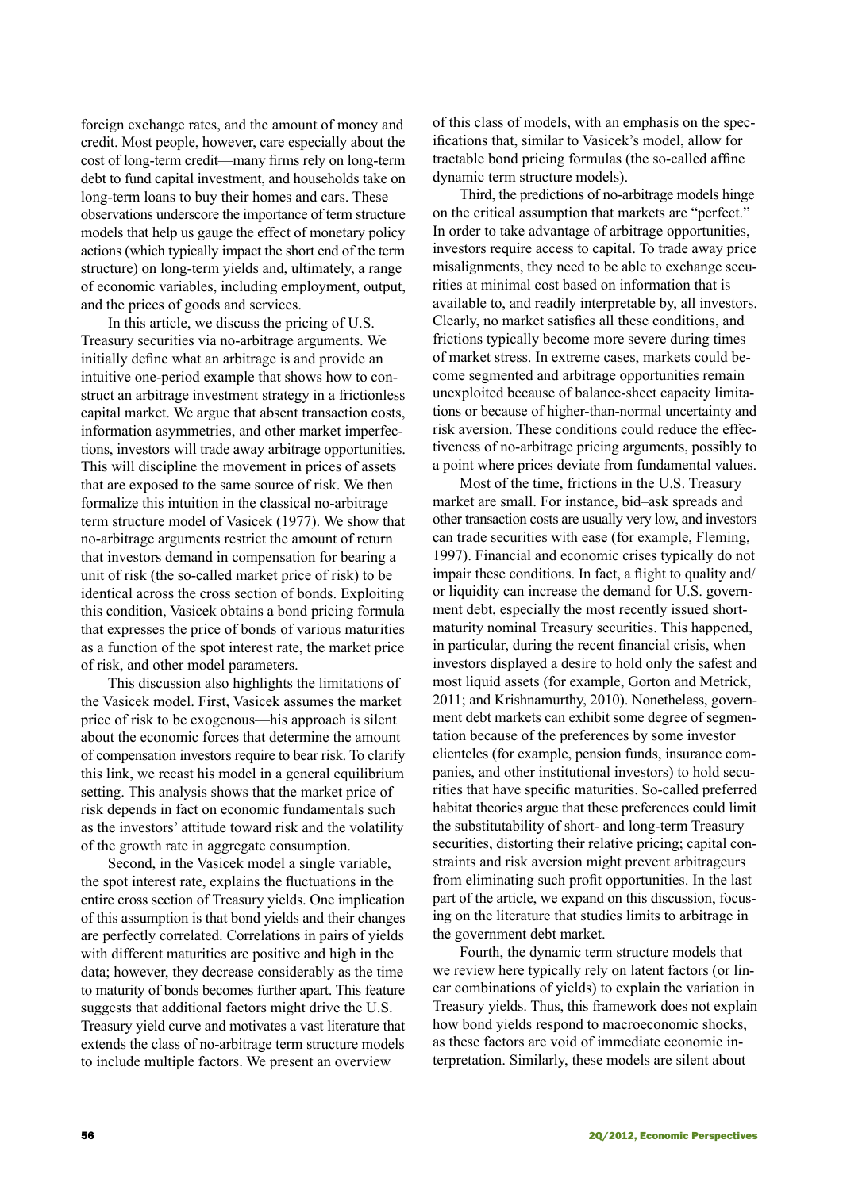foreign exchange rates, and the amount of money and credit. Most people, however, care especially about the cost of long-term credit—many firms rely on long-term debt to fund capital investment, and households take on long-term loans to buy their homes and cars. These observations underscore the importance of term structure models that help us gauge the effect of monetary policy actions (which typically impact the short end of the term structure) on long-term yields and, ultimately, a range of economic variables, including employment, output, and the prices of goods and services.

In this article, we discuss the pricing of U.S. Treasury securities via no-arbitrage arguments. We initially define what an arbitrage is and provide an intuitive one-period example that shows how to construct an arbitrage investment strategy in a frictionless capital market. We argue that absent transaction costs, information asymmetries, and other market imperfections, investors will trade away arbitrage opportunities. This will discipline the movement in prices of assets that are exposed to the same source of risk. We then formalize this intuition in the classical no-arbitrage term structure model of Vasicek (1977). We show that no-arbitrage arguments restrict the amount of return that investors demand in compensation for bearing a unit of risk (the so-called market price of risk) to be identical across the cross section of bonds. Exploiting this condition, Vasicek obtains a bond pricing formula that expresses the price of bonds of various maturities as a function of the spot interest rate, the market price of risk, and other model parameters.

This discussion also highlights the limitations of the Vasicek model. First, Vasicek assumes the market price of risk to be exogenous—his approach is silent about the economic forces that determine the amount of compensation investors require to bear risk. To clarify this link, we recast his model in a general equilibrium setting. This analysis shows that the market price of risk depends in fact on economic fundamentals such as the investors' attitude toward risk and the volatility of the growth rate in aggregate consumption.

Second, in the Vasicek model a single variable, the spot interest rate, explains the fluctuations in the entire cross section of Treasury yields. One implication of this assumption is that bond yields and their changes are perfectly correlated. Correlations in pairs of yields with different maturities are positive and high in the data; however, they decrease considerably as the time to maturity of bonds becomes further apart. This feature suggests that additional factors might drive the U.S. Treasury yield curve and motivates a vast literature that extends the class of no-arbitrage term structure models to include multiple factors. We present an overview

of this class of models, with an emphasis on the specifications that, similar to Vasicek's model, allow for tractable bond pricing formulas (the so-called affine dynamic term structure models).

Third, the predictions of no-arbitrage models hinge on the critical assumption that markets are "perfect." In order to take advantage of arbitrage opportunities, investors require access to capital. To trade away price misalignments, they need to be able to exchange securities at minimal cost based on information that is available to, and readily interpretable by, all investors. Clearly, no market satisfies all these conditions, and frictions typically become more severe during times of market stress. In extreme cases, markets could become segmented and arbitrage opportunities remain unexploited because of balance-sheet capacity limitations or because of higher-than-normal uncertainty and risk aversion. These conditions could reduce the effectiveness of no-arbitrage pricing arguments, possibly to a point where prices deviate from fundamental values.

Most of the time, frictions in the U.S. Treasury market are small. For instance, bid–ask spreads and other transaction costs are usually very low, and investors can trade securities with ease (for example, Fleming, 1997). Financial and economic crises typically do not impair these conditions. In fact, a flight to quality and/ or liquidity can increase the demand for U.S. government debt, especially the most recently issued shortmaturity nominal Treasury securities. This happened, in particular, during the recent financial crisis, when investors displayed a desire to hold only the safest and most liquid assets (for example, Gorton and Metrick, 2011; and Krishnamurthy, 2010). Nonetheless, government debt markets can exhibit some degree of segmentation because of the preferences by some investor clienteles (for example, pension funds, insurance companies, and other institutional investors) to hold securities that have specific maturities. So-called preferred habitat theories argue that these preferences could limit the substitutability of short- and long-term Treasury securities, distorting their relative pricing; capital constraints and risk aversion might prevent arbitrageurs from eliminating such profit opportunities. In the last part of the article, we expand on this discussion, focusing on the literature that studies limits to arbitrage in the government debt market.

Fourth, the dynamic term structure models that we review here typically rely on latent factors (or linear combinations of yields) to explain the variation in Treasury yields. Thus, this framework does not explain how bond yields respond to macroeconomic shocks, as these factors are void of immediate economic interpretation. Similarly, these models are silent about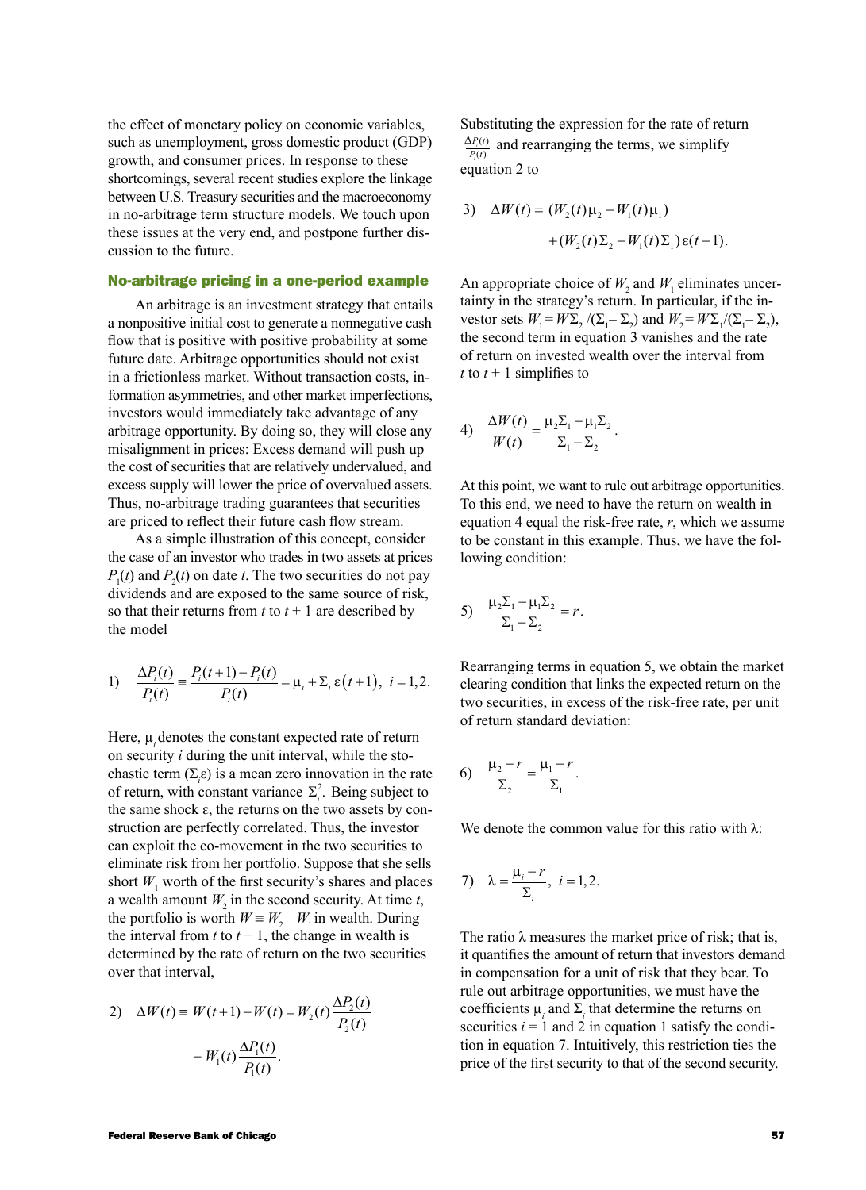the effect of monetary policy on economic variables, such as unemployment, gross domestic product (GDP) growth, and consumer prices. In response to these shortcomings, several recent studies explore the linkage between U.S. Treasury securities and the macroeconomy in no-arbitrage term structure models. We touch upon these issues at the very end, and postpone further discussion to the future.

### No-arbitrage pricing in a one-period example

An arbitrage is an investment strategy that entails a nonpositive initial cost to generate a nonnegative cash flow that is positive with positive probability at some future date. Arbitrage opportunities should not exist in a frictionless market. Without transaction costs, information asymmetries, and other market imperfections, investors would immediately take advantage of any arbitrage opportunity. By doing so, they will close any misalignment in prices: Excess demand will push up the cost of securities that are relatively undervalued, and excess supply will lower the price of overvalued assets. Thus, no-arbitrage trading guarantees that securities are priced to reflect their future cash flow stream.

As a simple illustration of this concept, consider the case of an investor who trades in two assets at prices  $P_1(t)$  and  $P_2(t)$  on date *t*. The two securities do not pay dividends and are exposed to the same source of risk, so that their returns from  $t$  to  $t + 1$  are described by the model

1) 
$$
\frac{\Delta P_i(t)}{P_i(t)} = \frac{P_i(t+1) - P_i(t)}{P_i(t)} = \mu_i + \Sigma_i \epsilon(t+1), \quad i = 1, 2.
$$

Here,  $\mu$  denotes the constant expected rate of return on security *i* during the unit interval, while the stochastic term  $(\Sigma_i \varepsilon)$  is a mean zero innovation in the rate of return, with constant variance  $\Sigma_i^2$ . Being subject to the same shock  $\varepsilon$ , the returns on the two assets by construction are perfectly correlated. Thus, the investor can exploit the co-movement in the two securities to eliminate risk from her portfolio. Suppose that she sells short  $W_1$  worth of the first security's shares and places a wealth amount  $W_2$  in the second security. At time *t*, the portfolio is worth  $W \equiv W_2 - W_1$  in wealth. During the interval from  $t$  to  $t + 1$ , the change in wealth is determined by the rate of return on the two securities over that interval,

2) 
$$
\Delta W(t) \equiv W(t+1) - W(t) = W_2(t) \frac{\Delta P_2(t)}{P_2(t)}
$$

$$
- W_1(t) \frac{\Delta P_1(t)}{P_1(t)}.
$$

Substituting the expression for the rate of return *P t*  $\frac{P_i(t)}{P_i(t)}$  $\frac{\Delta P_i(t)}{P_i(t)}$  and rearranging the terms, we simplify equation 2 to

3) 
$$
\Delta W(t) = (W_2(t)\mu_2 - W_1(t)\mu_1) + (W_2(t)\Sigma_2 - W_1(t)\Sigma_1)\varepsilon(t+1).
$$

An appropriate choice of  $W_2$  and  $W_1$  eliminates uncertainty in the strategy's return. In particular, if the investor sets  $W_1 = W \Sigma_2 / (\Sigma_1 - \Sigma_2)$  and  $W_2 = W \Sigma_1 / (\Sigma_1 - \Sigma_2)$ , the second term in equation 3 vanishes and the rate of return on invested wealth over the interval from *t* to  $t + 1$  simplifies to

4) 
$$
\frac{\Delta W(t)}{W(t)} = \frac{\mu_2 \Sigma_1 - \mu_1 \Sigma_2}{\Sigma_1 - \Sigma_2}.
$$

At this point, we want to rule out arbitrage opportunities. To this end, we need to have the return on wealth in equation 4 equal the risk-free rate, *r*, which we assume to be constant in this example. Thus, we have the following condition:

5) 
$$
\frac{\mu_2 \Sigma_1 - \mu_1 \Sigma_2}{\Sigma_1 - \Sigma_2} = r.
$$

Rearranging terms in equation 5, we obtain the market clearing condition that links the expected return on the two securities, in excess of the risk-free rate, per unit of return standard deviation:

6) 
$$
\frac{\mu_2 - r}{\Sigma_2} = \frac{\mu_1 - r}{\Sigma_1}.
$$

We denote the common value for this ratio with  $\lambda$ :

7) 
$$
\lambda = \frac{\mu_i - r}{\Sigma_i}, \quad i = 1, 2.
$$

The ratio  $\lambda$  measures the market price of risk; that is, it quantifies the amount of return that investors demand in compensation for a unit of risk that they bear. To rule out arbitrage opportunities, we must have the coefficients  $\mu_i$  and  $\Sigma_i$  that determine the returns on securities  $i = 1$  and 2 in equation 1 satisfy the condition in equation 7. Intuitively, this restriction ties the price of the first security to that of the second security.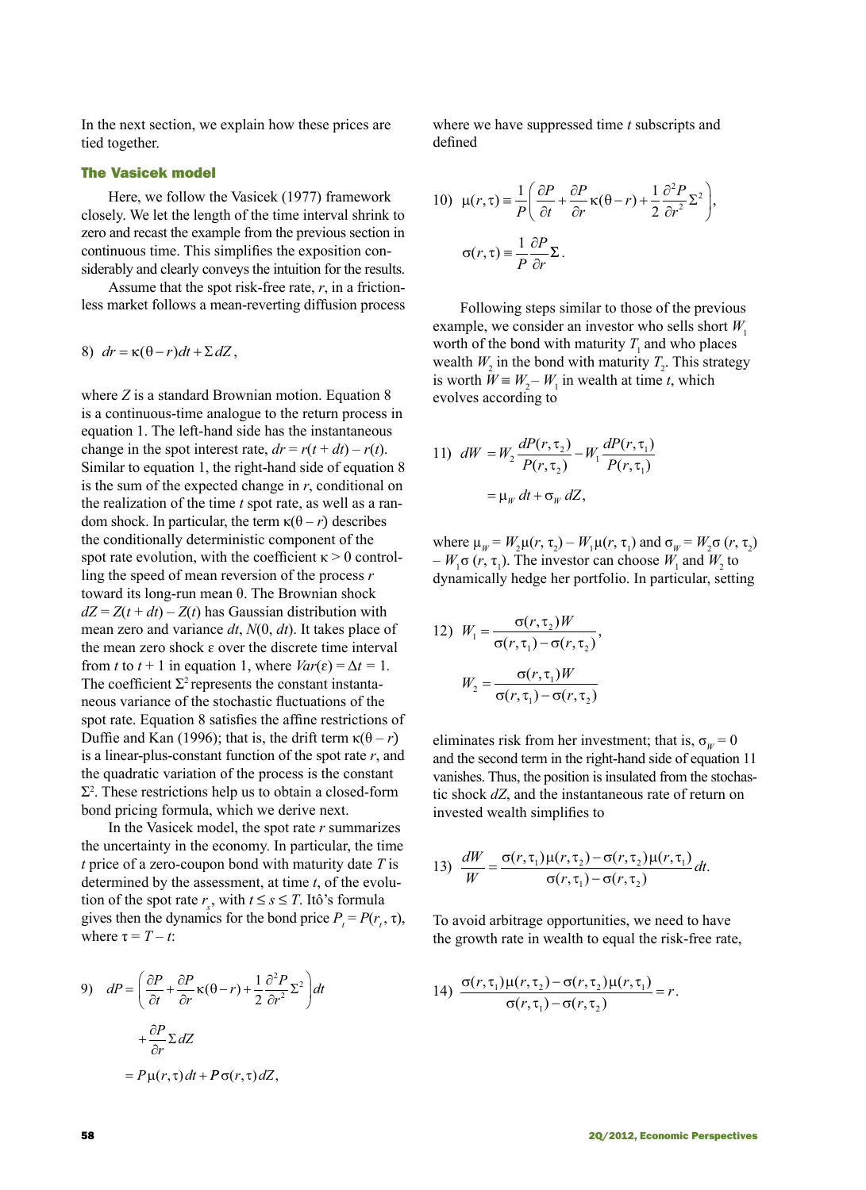In the next section, we explain how these prices are tied together.

### The Vasicek model

Here, we follow the Vasicek (1977) framework closely. We let the length of the time interval shrink to zero and recast the example from the previous section in continuous time. This simplifies the exposition considerably and clearly conveys the intuition for the results.

Assume that the spot risk-free rate, *r*, in a frictionless market follows a mean-reverting diffusion process

8) 
$$
dr = \kappa(\theta - r)dt + \Sigma dZ
$$
,

where *Z* is a standard Brownian motion. Equation 8 is a continuous-time analogue to the return process in equation 1. The left-hand side has the instantaneous change in the spot interest rate,  $dr = r(t + dt) - r(t)$ . Similar to equation 1, the right-hand side of equation 8 is the sum of the expected change in *r*, conditional on the realization of the time *t* spot rate, as well as a random shock. In particular, the term  $κ(θ - r)$  describes the conditionally deterministic component of the spot rate evolution, with the coefficient  $\kappa > 0$  controlling the speed of mean reversion of the process *r* toward its long-run mean θ. The Brownian shock  $dZ = Z(t + dt) - Z(t)$  has Gaussian distribution with mean zero and variance *dt*, *N*(0, *dt*). It takes place of the mean zero shock  $\varepsilon$  over the discrete time interval from *t* to  $t + 1$  in equation 1, where  $Var(\varepsilon) = \Delta t = 1$ . The coefficient  $\Sigma^2$  represents the constant instantaneous variance of the stochastic fluctuations of the spot rate. Equation 8 satisfies the affine restrictions of Duffie and Kan (1996); that is, the drift term  $\kappa(\theta - r)$ is a linear-plus-constant function of the spot rate *r*, and the quadratic variation of the process is the constant  $\Sigma^2$ . These restrictions help us to obtain a closed-form bond pricing formula, which we derive next.

In the Vasicek model, the spot rate *r* summarizes the uncertainty in the economy. In particular, the time *t* price of a zero-coupon bond with maturity date *T* is determined by the assessment, at time *t*, of the evolution of the spot rate  $r_s$ , with  $t \leq s \leq T$ . Itô's formula gives then the dynamics for the bond price  $P_t = P(r_t, \tau)$ , where  $\tau = T - t$ :

9) 
$$
dP = \left(\frac{\partial P}{\partial t} + \frac{\partial P}{\partial r}\kappa(\theta - r) + \frac{1}{2}\frac{\partial^2 P}{\partial r^2}\Sigma^2\right)dt
$$

$$
+ \frac{\partial P}{\partial r}\Sigma dZ
$$

$$
= P\mu(r, \tau)dt + P\sigma(r, \tau) dZ,
$$

where we have suppressed time *t* subscripts and defined

10) 
$$
\mu(r,\tau) = \frac{1}{P} \left( \frac{\partial P}{\partial t} + \frac{\partial P}{\partial r} \kappa(\theta - r) + \frac{1}{2} \frac{\partial^2 P}{\partial r^2} \Sigma^2 \right),
$$

$$
\sigma(r,\tau) = \frac{1}{P} \frac{\partial P}{\partial r} \Sigma.
$$

Following steps similar to those of the previous example, we consider an investor who sells short  $W_1$ worth of the bond with maturity  $T_1$  and who places wealth  $W_2$  in the bond with maturity  $T_2$ . This strategy is worth  $W \equiv W_2 - W_1$  in wealth at time *t*, which evolves according to

11) 
$$
dW = W_2 \frac{dP(r, \tau_2)}{P(r, \tau_2)} - W_1 \frac{dP(r, \tau_1)}{P(r, \tau_1)}
$$

$$
= \mu_W dt + \sigma_W dZ,
$$

where  $\mu_w = W_2 \mu(r, \tau_2) - W_1 \mu(r, \tau_1)$  and  $\sigma_w = W_2 \sigma(r, \tau_2)$  $-W_1 \sigma (r, \tau_1)$ . The investor can choose  $W_1$  and  $W_2$  to dynamically hedge her portfolio. In particular, setting

12) 
$$
W_1 = \frac{\sigma(r, \tau_2)W}{\sigma(r, \tau_1) - \sigma(r, \tau_2)},
$$

$$
W_2 = \frac{\sigma(r, \tau_1)W}{\sigma(r, \tau_1) - \sigma(r, \tau_2)}
$$

eliminates risk from her investment; that is,  $\sigma_w = 0$ and the second term in the right-hand side of equation 11 vanishes. Thus, the position is insulated from the stochastic shock *dZ*, and the instantaneous rate of return on invested wealth simplifies to

13) 
$$
\frac{dW}{W} = \frac{\sigma(r, \tau_1)\mu(r, \tau_2) - \sigma(r, \tau_2)\mu(r, \tau_1)}{\sigma(r, \tau_1) - \sigma(r, \tau_2)} dt.
$$

To avoid arbitrage opportunities, we need to have the growth rate in wealth to equal the risk-free rate,

14) 
$$
\frac{\sigma(r,\tau_1)\mu(r,\tau_2)-\sigma(r,\tau_2)\mu(r,\tau_1)}{\sigma(r,\tau_1)-\sigma(r,\tau_2)}=r.
$$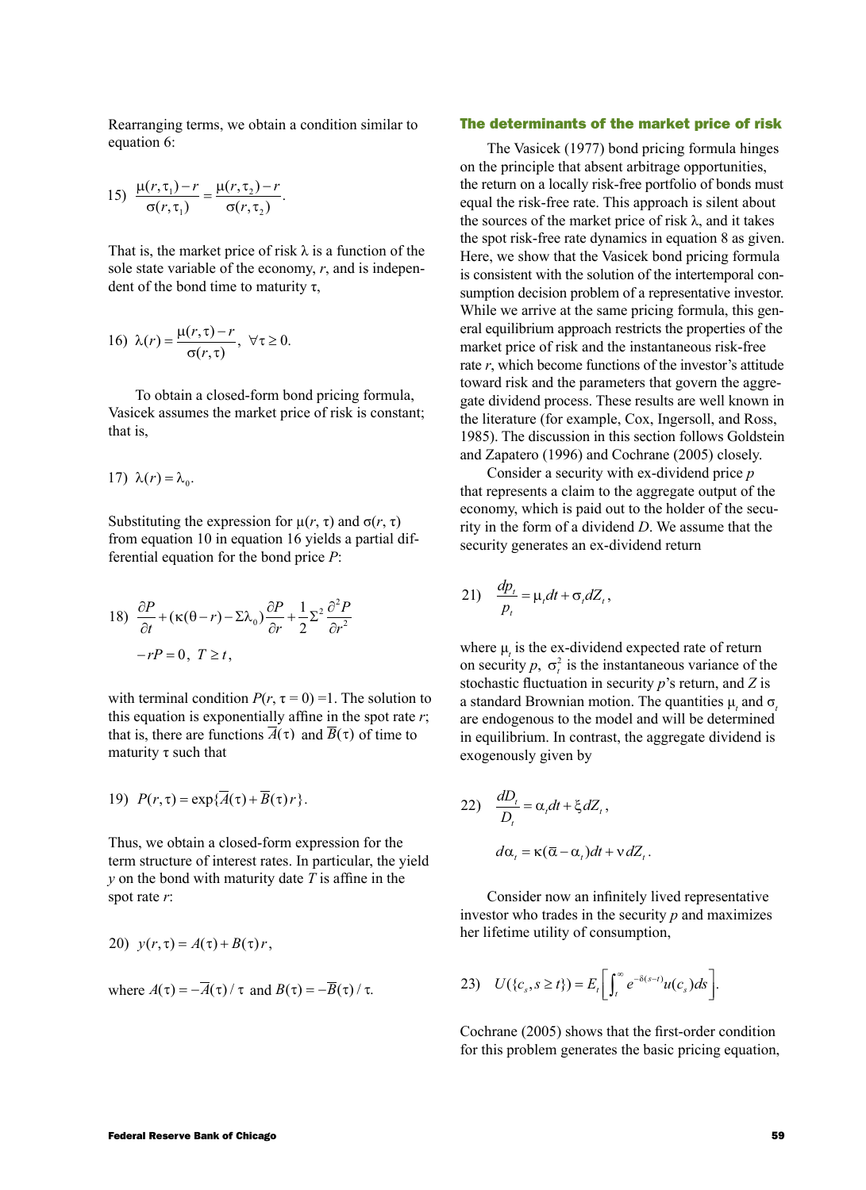Rearranging terms, we obtain a condition similar to equation 6:

15) 
$$
\frac{\mu(r, \tau_1) - r}{\sigma(r, \tau_1)} = \frac{\mu(r, \tau_2) - r}{\sigma(r, \tau_2)}.
$$

That is, the market price of risk  $\lambda$  is a function of the sole state variable of the economy, *r*, and is independent of the bond time to maturity  $τ$ ,

16) 
$$
\lambda(r) = \frac{\mu(r,\tau) - r}{\sigma(r,\tau)}, \ \forall \tau \ge 0.
$$

To obtain a closed-form bond pricing formula, Vasicek assumes the market price of risk is constant; that is,

17) 
$$
\lambda(r) = \lambda_0
$$
.

Substituting the expression for  $\mu(r, τ)$  and  $\sigma(r, τ)$ from equation 10 in equation 16 yields a partial differential equation for the bond price *P*:

18) 
$$
\frac{\partial P}{\partial t} + (\kappa(\theta - r) - \Sigma \lambda_0) \frac{\partial P}{\partial r} + \frac{1}{2} \Sigma^2 \frac{\partial^2 P}{\partial r^2}
$$

$$
-rP = 0, T \ge t,
$$

with terminal condition  $P(r, \tau = 0) = 1$ . The solution to this equation is exponentially affine in the spot rate *r*; that is, there are functions  $\overline{A}(\tau)$  and  $\overline{B}(\tau)$  of time to maturity  $\tau$  such that

19) 
$$
P(r, \tau) = \exp{\{\overline{A}(\tau) + \overline{B}(\tau)r\}}
$$
.

Thus, we obtain a closed-form expression for the term structure of interest rates. In particular, the yield *y* on the bond with maturity date *T* is affine in the spot rate *r*:

20) 
$$
y(r,\tau) = A(\tau) + B(\tau)r,
$$

where 
$$
A(\tau) = -\overline{A}(\tau)/\tau
$$
 and  $B(\tau) = -\overline{B}(\tau)/\tau$ .

#### The determinants of the market price of risk

The Vasicek (1977) bond pricing formula hinges on the principle that absent arbitrage opportunities, the return on a locally risk-free portfolio of bonds must equal the risk-free rate. This approach is silent about the sources of the market price of risk  $\lambda$ , and it takes the spot risk-free rate dynamics in equation 8 as given. Here, we show that the Vasicek bond pricing formula is consistent with the solution of the intertemporal consumption decision problem of a representative investor. While we arrive at the same pricing formula, this general equilibrium approach restricts the properties of the market price of risk and the instantaneous risk-free rate *r*, which become functions of the investor's attitude toward risk and the parameters that govern the aggregate dividend process. These results are well known in the literature (for example, Cox, Ingersoll, and Ross, 1985). The discussion in this section follows Goldstein and Zapatero (1996) and Cochrane (2005) closely.

Consider a security with ex-dividend price *p* that represents a claim to the aggregate output of the economy, which is paid out to the holder of the security in the form of a dividend *D*. We assume that the security generates an ex-dividend return

$$
21)\quad \frac{dp_t}{p_t} = \mu_t dt + \sigma_t dZ_t,
$$

where  $\mu$ <sub>*t*</sub> is the ex-dividend expected rate of return on security  $p, \sigma_t^2$  is the instantaneous variance of the stochastic fluctuation in security *p*'s return, and *Z* is a standard Brownian motion. The quantities  $\mu_t$  and  $\sigma_t$ are endogenous to the model and will be determined in equilibrium. In contrast, the aggregate dividend is exogenously given by

22) 
$$
\frac{dD_t}{D_t} = \alpha_t dt + \xi dZ_t,
$$

$$
d\alpha_t = \kappa(\overline{\alpha} - \alpha_t)dt + v dZ_t.
$$

Consider now an infinitely lived representative investor who trades in the security *p* and maximizes her lifetime utility of consumption,

$$
23)\quad U(\lbrace c_s, s \ge t \rbrace) = E_t \bigg[ \int_t^{\infty} e^{-\delta(s-t)} u(c_s) ds \bigg].
$$

Cochrane (2005) shows that the first-order condition for this problem generates the basic pricing equation,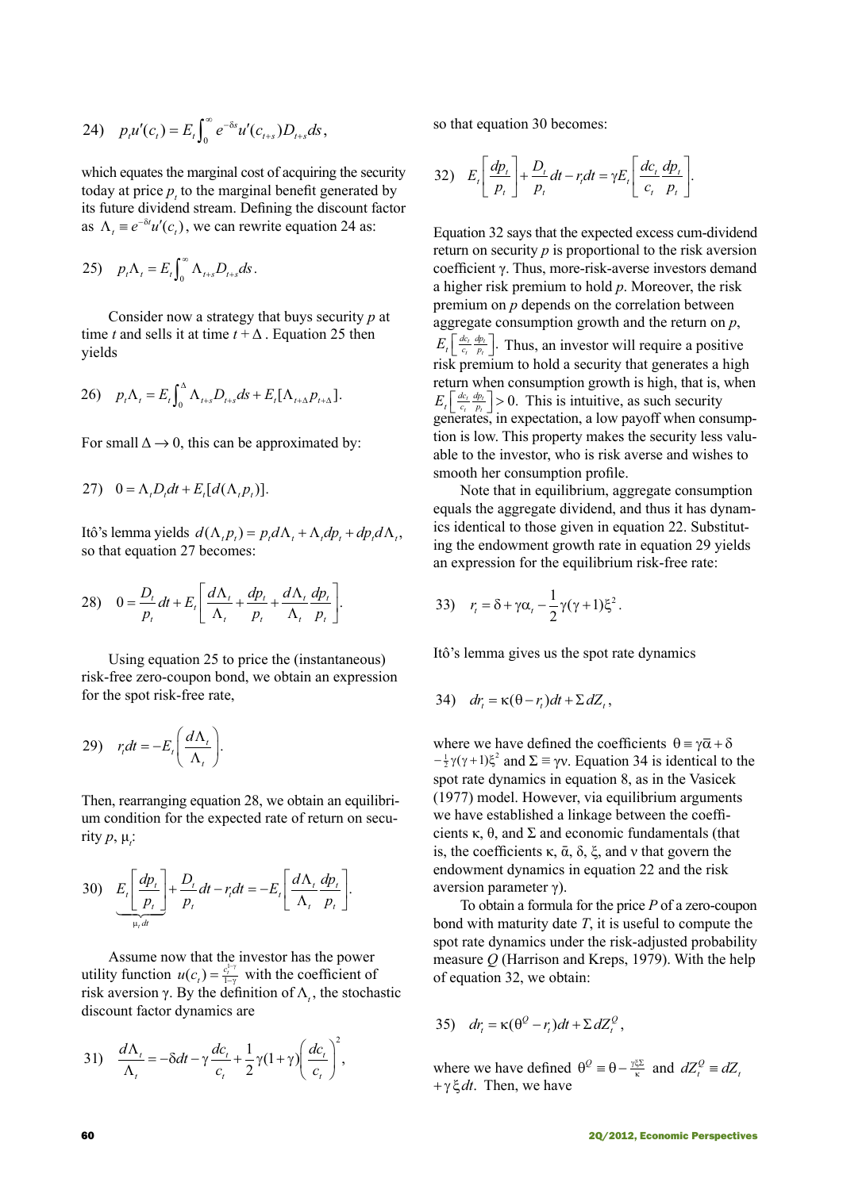24) 
$$
p_i u'(c_i) = E_t \int_0^\infty e^{-\delta s} u'(c_{t+s}) D_{t+s} ds
$$
,

which equates the marginal cost of acquiring the security today at price  $p_t$  to the marginal benefit generated by its future dividend stream. Defining the discount factor as  $\Lambda_t \equiv e^{-\delta t} u'(c_t)$ , we can rewrite equation 24 as:

$$
25) \quad p_t \Lambda_t = E_t \int_0^\infty \Lambda_{t+s} D_{t+s} ds \, .
$$

Consider now a strategy that buys security *p* at time *t* and sells it at time  $t + \Delta$ . Equation 25 then yields

$$
26)\quad p_{t}\Lambda_{t}=E_{t}\int_{0}^{\Lambda}\Lambda_{t+s}D_{t+s}ds+E_{t}[\Lambda_{t+\Delta}p_{t+\Delta}].
$$

For small  $\Delta \rightarrow 0$ , this can be approximated by:

$$
27) \quad 0 = \Lambda_t D_t dt + E_t [d(\Lambda_t p_t)].
$$

Itô's lemma yields  $d(Λ<sub>t</sub> p<sub>t</sub>) = p<sub>t</sub> dΛ<sub>t</sub> + Λ<sub>t</sub> dp<sub>t</sub> + dp<sub>t</sub> dΛ<sub>t</sub>$ , so that equation 27 becomes:

$$
28)\quad 0=\frac{D_t}{p_t}dt+E_t\left[\frac{d\Lambda_t}{\Lambda_t}+\frac{dp_t}{p_t}+\frac{d\Lambda_t}{\Lambda_t}\frac{dp_t}{p_t}\right].
$$

Using equation 25 to price the (instantaneous) risk-free zero-coupon bond, we obtain an expression for the spot risk-free rate,

$$
29) \quad r_{i}dt = -E_{i}\bigg(\frac{d\Lambda_{i}}{\Lambda_{i}}\bigg).
$$

Then, rearranging equation 28, we obtain an equilibrium condition for the expected rate of return on security  $p, \mu$ <sub>*i*</sub>:

30) 
$$
E_{\iota} \left[ \frac{dp_{\iota}}{p_{\iota}} \right] + \frac{D_{\iota}}{p_{\iota}} dt - r_{\iota} dt = -E_{\iota} \left[ \frac{d \Lambda_{\iota}}{\Lambda_{\iota}} \frac{dp_{\iota}}{p_{\iota}} \right].
$$

Assume now that the investor has the power utility function  $u(c_t) = \frac{c_t^{1-t}}{1-t}$ 1 1  $\frac{1}{\gamma}$  with the coefficient of risk aversion  $\gamma$ . By the definition of  $\Lambda$ <sub>t</sub>, the stochastic discount factor dynamics are

31) 
$$
\frac{d\Lambda_t}{\Lambda_t} = -\delta dt - \gamma \frac{dc_t}{c_t} + \frac{1}{2} \gamma (1 + \gamma) \left(\frac{dc_t}{c_t}\right)^2,
$$

so that equation 30 becomes:

32) 
$$
E_{t}\left[\frac{dp_{t}}{p_{t}}\right] + \frac{D_{t}}{p_{t}}dt - r_{t}dt = \gamma E_{t}\left[\frac{dc_{t}}{c_{t}}\frac{dp_{t}}{p_{t}}\right].
$$

Equation 32 says that the expected excess cum-dividend return on security *p* is proportional to the risk aversion coefficient γ. Thus, more-risk-averse investors demand a higher risk premium to hold *p*. Moreover, the risk premium on *p* depends on the correlation between aggregate consumption growth and the return on *p*,  $E_t\left[\frac{de_i}{c_i} \frac{dp_i}{p_i}\right]$ . Thus, an investor will require a positive risk premium to hold a security that generates a high return when consumption growth is high, that is, when  $E_t\left[\frac{de_i}{c_i} \frac{dp_i}{p_i}\right] > 0$ . This is intuitive, as such security generates, in expectation, a low payoff when consumption is low. This property makes the security less valuable to the investor, who is risk averse and wishes to smooth her consumption profile.

Note that in equilibrium, aggregate consumption equals the aggregate dividend, and thus it has dynamics identical to those given in equation 22. Substituting the endowment growth rate in equation 29 yields an expression for the equilibrium risk-free rate:

$$
33)\quad r_t = \delta + \gamma \alpha_t - \frac{1}{2} \gamma (\gamma + 1) \xi^2.
$$

Itô's lemma gives us the spot rate dynamics

$$
34) \quad dr_t = \kappa(\theta - r_t)dt + \Sigma dZ_t,
$$

where we have defined the coefficients  $\theta = \gamma \overline{\alpha} + \delta$  $-\frac{1}{2}\gamma(\gamma+1)\xi^2$  and  $\Sigma \equiv \gamma v$ . Equation 34 is identical to the spot rate dynamics in equation 8, as in the Vasicek (1977) model. However, via equilibrium arguments we have established a linkage between the coefficients κ, θ, and Σ and economic fundamentals (that is, the coefficients κ,  $\bar{\alpha}$ ,  $\delta$ ,  $\xi$ , and v that govern the endowment dynamics in equation 22 and the risk aversion parameter γ).

To obtain a formula for the price *P* of a zero-coupon bond with maturity date *T*, it is useful to compute the spot rate dynamics under the risk-adjusted probability measure *Q* (Harrison and Kreps, 1979). With the help of equation 32, we obtain:

35) 
$$
dr_t = \kappa(\theta^Q - r_t)dt + \Sigma dZ_t^Q
$$
,

where we have defined  $\theta^Q = \theta - \frac{\gamma \xi \Sigma}{\kappa}$  and  $dZ_t^Q = dZ_t$ + γ ξ*dt*. Then, we have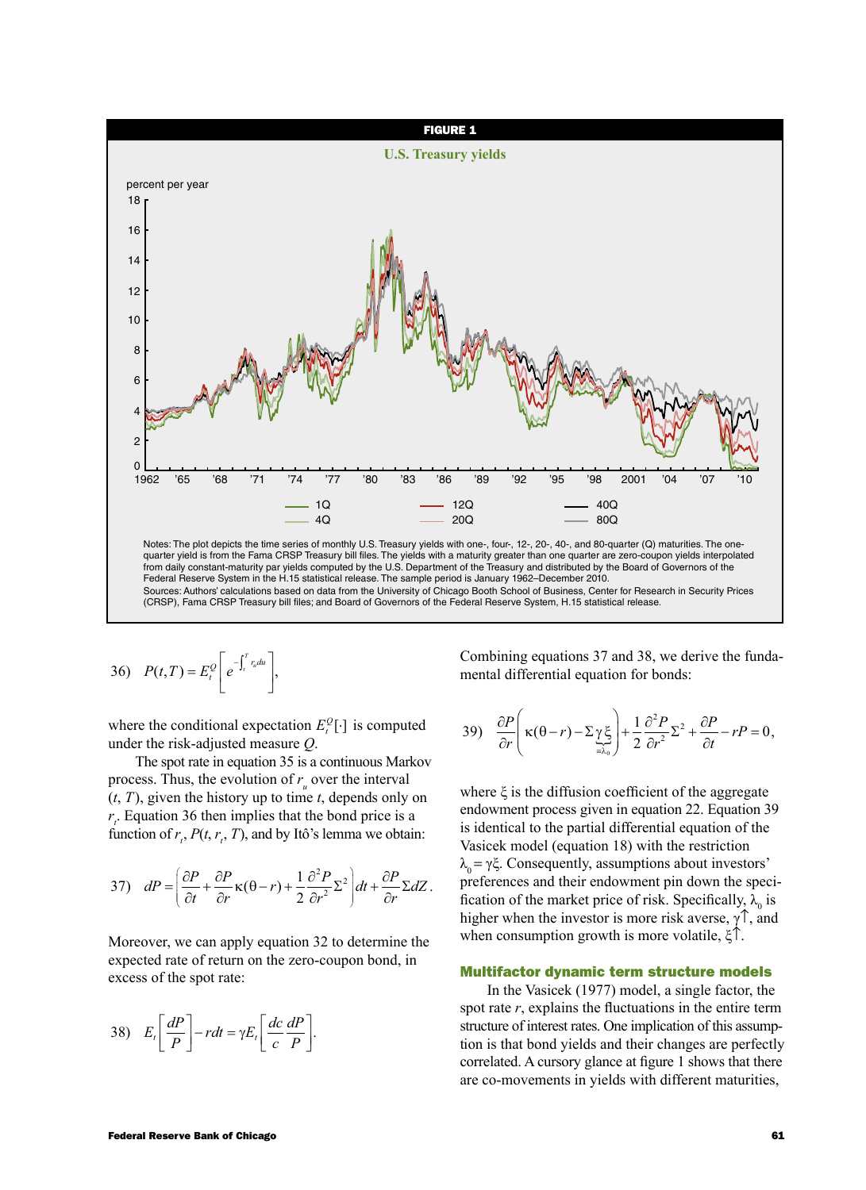

36) 
$$
P(t,T) = E_t^Q \left[ e^{-\int_t^T r_u du} \right],
$$

where the conditional expectation  $E_t^Q[\cdot]$  is computed under the risk-adjusted measure *Q*.

The spot rate in equation 35 is a continuous Markov process. Thus, the evolution of  $r_u$  over the interval (*t*, *T*), given the history up to time *t*, depends only on  $r_t$ . Equation 36 then implies that the bond price is a function of  $r_t$ ,  $P(t, r_t, T)$ , and by Itô's lemma we obtain:

37) 
$$
dP = \left(\frac{\partial P}{\partial t} + \frac{\partial P}{\partial r}\kappa(\theta - r) + \frac{1}{2}\frac{\partial^2 P}{\partial r^2}\Sigma^2\right)dt + \frac{\partial P}{\partial r}\Sigma dZ.
$$

Moreover, we can apply equation 32 to determine the expected rate of return on the zero-coupon bond, in excess of the spot rate:

$$
38) \tE_t\left[\frac{dP}{P}\right] - rdt = \gamma E_t \left[\frac{dc}{c}\frac{dP}{P}\right].
$$

Combining equations 37 and 38, we derive the fundamental differential equation for bonds:

39) 
$$
\frac{\partial P}{\partial r}\left(\kappa(\theta-r)-\sum_{\substack{\alpha\\ \alpha>0}}\sum_{j=0}^{\infty}\frac{1}{\alpha}\frac{\partial^2 P}{\partial r^2}\sum_{j=0}^{\infty}\frac{1}{r^2}-rP=0,\right)
$$

where  $\xi$  is the diffusion coefficient of the aggregate endowment process given in equation 22. Equation 39 is identical to the partial differential equation of the Vasicek model (equation 18) with the restriction  $λ<sub>o</sub> = γξ. Consequently, assumptions about investors'$ preferences and their endowment pin down the specification of the market price of risk. Specifically,  $\lambda_0$  is higher when the investor is more risk averse,  $\gamma \uparrow$ , and when consumption growth is more volatile, ξ↑.

### Multifactor dynamic term structure models

In the Vasicek (1977) model, a single factor, the spot rate *r*, explains the fluctuations in the entire term structure of interest rates. One implication of this assumption is that bond yields and their changes are perfectly correlated. A cursory glance at figure 1 shows that there are co-movements in yields with different maturities,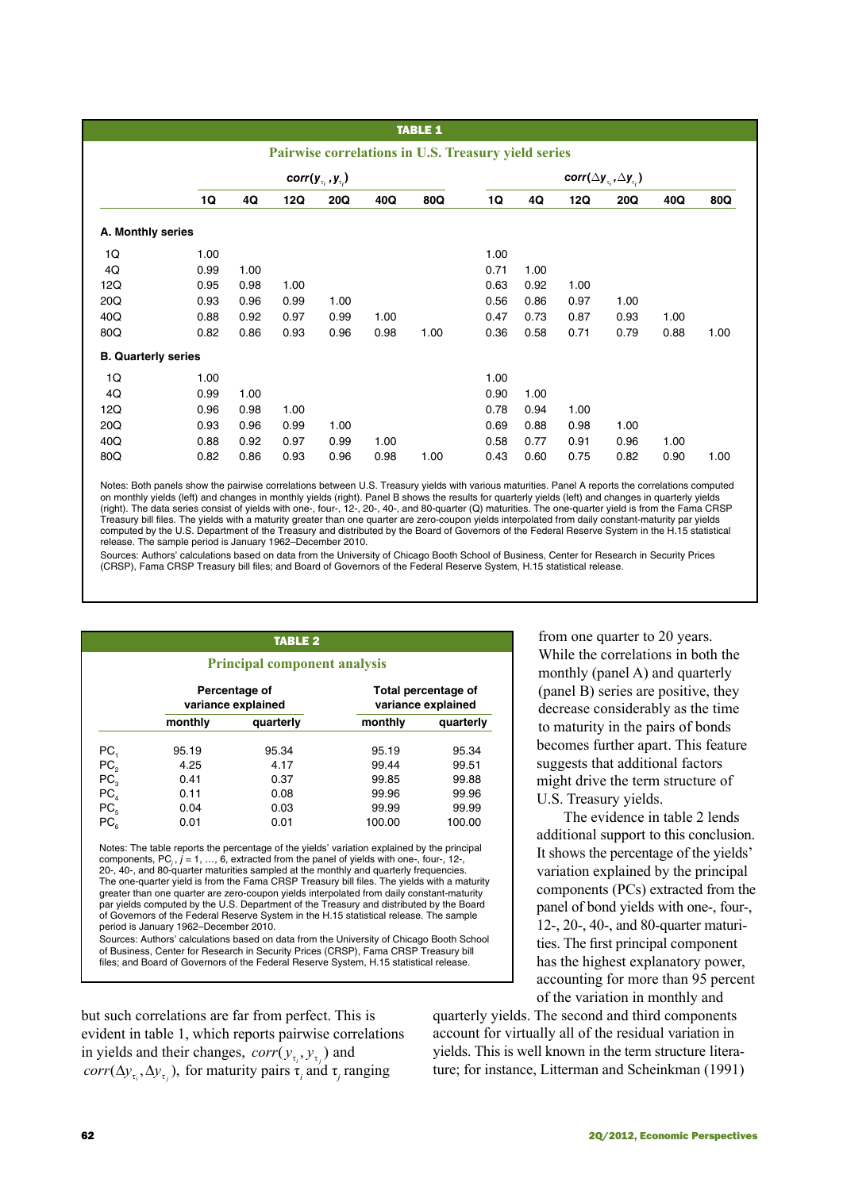# *TABLE 1*

|                            |      |                                |      |      |      | Pairwise correlations in U.S. Treasury yield series       |      |      |            |      |      |      |
|----------------------------|------|--------------------------------|------|------|------|-----------------------------------------------------------|------|------|------------|------|------|------|
|                            |      | $corr(y_{\tau_i}, y_{\tau_i})$ |      |      |      | corr( $\Delta$ y <sub>v</sub> , $\Delta$ y <sub>v</sub> ) |      |      |            |      |      |      |
|                            | 1Q   | 4Q                             | 12Q  | 20Q  | 40Q  | 80Q                                                       | 1Q   | 4Q   | <b>12Q</b> | 20Q  | 40Q  | 80Q  |
| A. Monthly series          |      |                                |      |      |      |                                                           |      |      |            |      |      |      |
| 1Q                         | 1.00 |                                |      |      |      |                                                           | 1.00 |      |            |      |      |      |
| 4Q                         | 0.99 | 1.00                           |      |      |      |                                                           | 0.71 | 1.00 |            |      |      |      |
| 12Q                        | 0.95 | 0.98                           | 1.00 |      |      |                                                           | 0.63 | 0.92 | 1.00       |      |      |      |
| 20Q                        | 0.93 | 0.96                           | 0.99 | 1.00 |      |                                                           | 0.56 | 0.86 | 0.97       | 1.00 |      |      |
| 40Q                        | 0.88 | 0.92                           | 0.97 | 0.99 | 1.00 |                                                           | 0.47 | 0.73 | 0.87       | 0.93 | 1.00 |      |
| 80Q                        | 0.82 | 0.86                           | 0.93 | 0.96 | 0.98 | 1.00                                                      | 0.36 | 0.58 | 0.71       | 0.79 | 0.88 | 1.00 |
| <b>B.</b> Quarterly series |      |                                |      |      |      |                                                           |      |      |            |      |      |      |
| 1Q                         | 1.00 |                                |      |      |      |                                                           | 1.00 |      |            |      |      |      |
| 4Q                         | 0.99 | 1.00                           |      |      |      |                                                           | 0.90 | 1.00 |            |      |      |      |
| 12Q                        | 0.96 | 0.98                           | 1.00 |      |      |                                                           | 0.78 | 0.94 | 1.00       |      |      |      |
| 20Q                        | 0.93 | 0.96                           | 0.99 | 1.00 |      |                                                           | 0.69 | 0.88 | 0.98       | 1.00 |      |      |
| 40Q                        | 0.88 | 0.92                           | 0.97 | 0.99 | 1.00 |                                                           | 0.58 | 0.77 | 0.91       | 0.96 | 1.00 |      |
| 80Q                        | 0.82 | 0.86                           | 0.93 | 0.96 | 0.98 | 1.00                                                      | 0.43 | 0.60 | 0.75       | 0.82 | 0.90 | 1.00 |

Notes: Both panels show the pairwise correlations between U.S. Treasury yields with various maturities. Panel A reports the correlations computed on monthly yields (left) and changes in monthly yields (right). Panel B shows the results for quarterly yields (left) and changes in quarterly yields<br>(right). The data series consist of yields with one-, four-, 12-, 20-, 4 Treasury bill files. The yields with a maturity greater than one quarter are zero-coupon yields interpolated from daily constant-maturity par yields computed by the U.S. Department of the Treasury and distributed by the Board of Governors of the Federal Reserve System in the H.15 statistical release. The sample period is January 1962–December 2010.

Sources: Authors' calculations based on data from the University of Chicago Booth School of Business, Center for Research in Security Prices (CRSP), Fama CRSP Treasury bill files; and Board of Governors of the Federal Reserve System, H.15 statistical release.

| <b>TABLE 2</b><br><b>Principal component analysis</b> |                                       |                                                                                                                                                                                                                                                                                                                                                                                                                                                                                                                                                                                                                                                                                                                                                                    |                                           |           |  |  |
|-------------------------------------------------------|---------------------------------------|--------------------------------------------------------------------------------------------------------------------------------------------------------------------------------------------------------------------------------------------------------------------------------------------------------------------------------------------------------------------------------------------------------------------------------------------------------------------------------------------------------------------------------------------------------------------------------------------------------------------------------------------------------------------------------------------------------------------------------------------------------------------|-------------------------------------------|-----------|--|--|
|                                                       |                                       | Percentage of<br>variance explained                                                                                                                                                                                                                                                                                                                                                                                                                                                                                                                                                                                                                                                                                                                                | Total percentage of<br>variance explained |           |  |  |
|                                                       | monthly                               | quarterly                                                                                                                                                                                                                                                                                                                                                                                                                                                                                                                                                                                                                                                                                                                                                          | monthly                                   | quarterly |  |  |
| PC <sub>1</sub>                                       | 95.19                                 | 95.34                                                                                                                                                                                                                                                                                                                                                                                                                                                                                                                                                                                                                                                                                                                                                              | 95.19                                     | 95.34     |  |  |
|                                                       | 4.25                                  | 4.17                                                                                                                                                                                                                                                                                                                                                                                                                                                                                                                                                                                                                                                                                                                                                               | 99.44                                     | 99.51     |  |  |
| $PC2$<br>$PC3$<br>$PC4$<br>$PC5$                      | 0.41                                  | 0.37                                                                                                                                                                                                                                                                                                                                                                                                                                                                                                                                                                                                                                                                                                                                                               | 99.85                                     | 99.88     |  |  |
|                                                       | 0.11                                  | 0.08                                                                                                                                                                                                                                                                                                                                                                                                                                                                                                                                                                                                                                                                                                                                                               | 99.96                                     | 99.96     |  |  |
|                                                       | 0.04                                  | 0.03                                                                                                                                                                                                                                                                                                                                                                                                                                                                                                                                                                                                                                                                                                                                                               | 99.99                                     | 99.99     |  |  |
| PC <sub>e</sub>                                       | 0.01                                  | 0.01                                                                                                                                                                                                                                                                                                                                                                                                                                                                                                                                                                                                                                                                                                                                                               | 100.00                                    | 100.00    |  |  |
|                                                       | period is January 1962-December 2010. | Notes: The table reports the percentage of the yields' variation explained by the principal<br>components, $PC_i$ , $j = 1, , 6$ , extracted from the panel of yields with one-, four-, 12-,<br>20-, 40-, and 80-quarter maturities sampled at the monthly and quarterly frequencies.<br>The one-quarter yield is from the Fama CRSP Treasury bill files. The yields with a maturity<br>greater than one quarter are zero-coupon yields interpolated from daily constant-maturity<br>par yields computed by the U.S. Department of the Treasury and distributed by the Board<br>of Governors of the Federal Reserve System in the H.15 statistical release. The sample<br>Sources: Authors' calculations based on data from the University of Chicago Booth School |                                           |           |  |  |

files; and Board of Governors of the Federal Reserve System, H.15 statistical release.

but such correlations are far from perfect. This is evident in table 1, which reports pairwise correlations in yields and their changes,  $corr(y_\tau, y_\tau)$  and *corr* ( $\Delta y_{\tau_i}, \Delta y_{\tau_j}$ ), for maturity pairs  $\tau_i$  and  $\tau_j$  ranging

from one quarter to 20 years. While the correlations in both the monthly (panel A) and quarterly (panel B) series are positive, they decrease considerably as the time to maturity in the pairs of bonds becomes further apart. This feature suggests that additional factors might drive the term structure of U.S. Treasury yields.

The evidence in table 2 lends additional support to this conclusion. It shows the percentage of the yields' variation explained by the principal components (PCs) extracted from the panel of bond yields with one-, four-, 12-, 20-, 40-, and 80-quarter maturities. The first principal component has the highest explanatory power, accounting for more than 95 percent of the variation in monthly and

quarterly yields. The second and third components account for virtually all of the residual variation in yields. This is well known in the term structure literature; for instance, Litterman and Scheinkman (1991)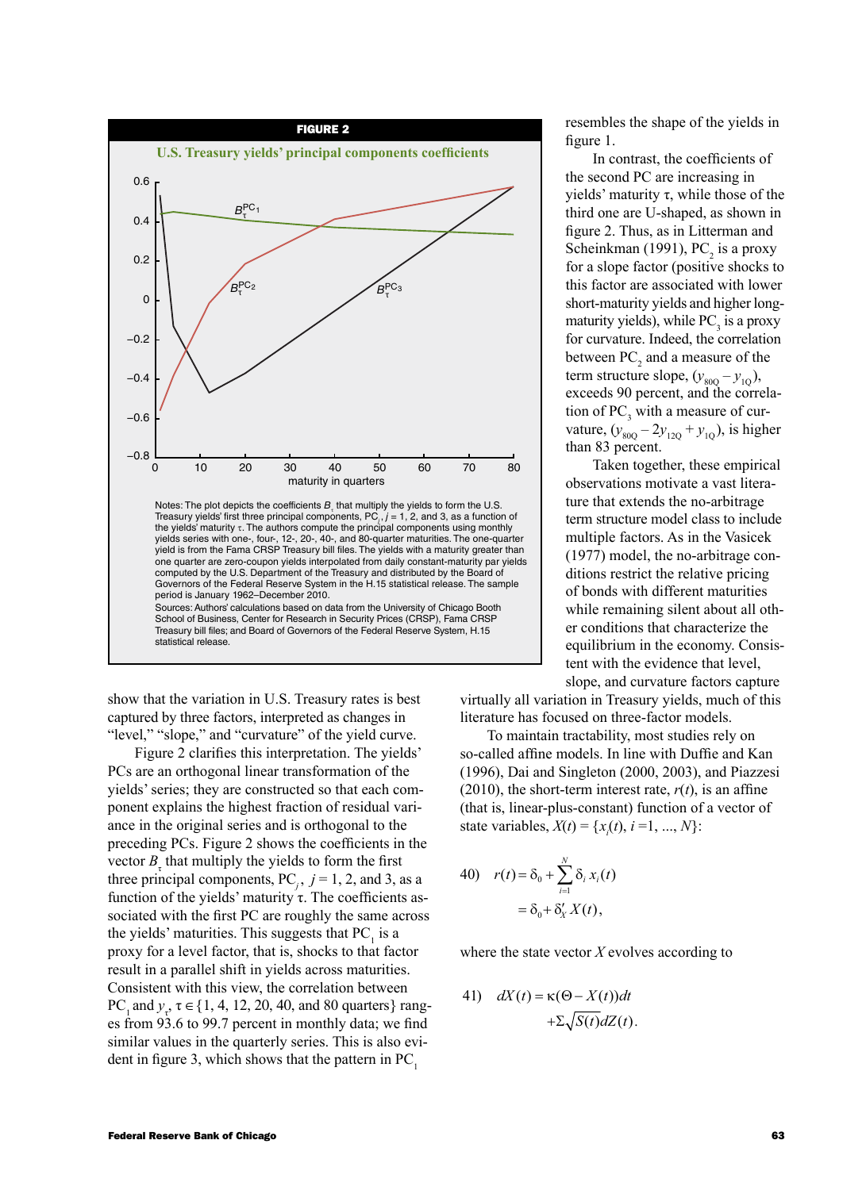

show that the variation in U.S. Treasury rates is best captured by three factors, interpreted as changes in "level," "slope," and "curvature" of the yield curve.

Figure 2 clarifies this interpretation. The yields' PCs are an orthogonal linear transformation of the yields' series; they are constructed so that each component explains the highest fraction of residual variance in the original series and is orthogonal to the preceding PCs. Figure 2 shows the coefficients in the vector  $B_{\tau}$  that multiply the yields to form the first three principal components,  $PC_j$ ,  $j = 1, 2$ , and 3, as a function of the yields' maturity τ. The coefficients associated with the first PC are roughly the same across the yields' maturities. This suggests that  $PC_1$  is a proxy for a level factor, that is, shocks to that factor result in a parallel shift in yields across maturities. Consistent with this view, the correlation between PC<sub>1</sub> and  $y_{\tau}$ ,  $\tau \in \{1, 4, 12, 20, 40, \text{ and } 80 \text{ quarters}\}$  ranges from 93.6 to 99.7 percent in monthly data; we find similar values in the quarterly series. This is also evident in figure 3, which shows that the pattern in  $PC<sub>1</sub>$ 

resembles the shape of the yields in figure 1.

In contrast, the coefficients of the second PC are increasing in yields' maturity  $τ$ , while those of the third one are U-shaped, as shown in figure 2. Thus, as in Litterman and Scheinkman (1991),  $PC<sub>2</sub>$  is a proxy for a slope factor (positive shocks to this factor are associated with lower short-maturity yields and higher longmaturity yields), while  $PC<sub>3</sub>$  is a proxy for curvature. Indeed, the correlation between  $PC_2$  and a measure of the term structure slope,  $(y_{800} - y_{10})$ , exceeds 90 percent, and the correlation of  $PC_3$  with a measure of curvature,  $(y_{80Q} - 2y_{12Q} + y_{1Q})$ , is higher than 83 percent.

Taken together, these empirical observations motivate a vast literature that extends the no-arbitrage term structure model class to include multiple factors. As in the Vasicek (1977) model, the no-arbitrage conditions restrict the relative pricing of bonds with different maturities while remaining silent about all other conditions that characterize the equilibrium in the economy. Consistent with the evidence that level, slope, and curvature factors capture

virtually all variation in Treasury yields, much of this literature has focused on three-factor models.

To maintain tractability, most studies rely on so-called affine models. In line with Duffie and Kan (1996), Dai and Singleton (2000, 2003), and Piazzesi (2010), the short-term interest rate,  $r(t)$ , is an affine (that is, linear-plus-constant) function of a vector of state variables,  $X(t) = \{x_i(t), i = 1, ..., N\}$ :

40) 
$$
r(t) = \delta_0 + \sum_{i=1}^{N} \delta_i x_i(t)
$$

$$
= \delta_0 + \delta'_X X(t),
$$

where the state vector *X* evolves according to

41) 
$$
dX(t) = \kappa(\Theta - X(t))dt
$$

$$
+ \Sigma \sqrt{S(t)}dZ(t).
$$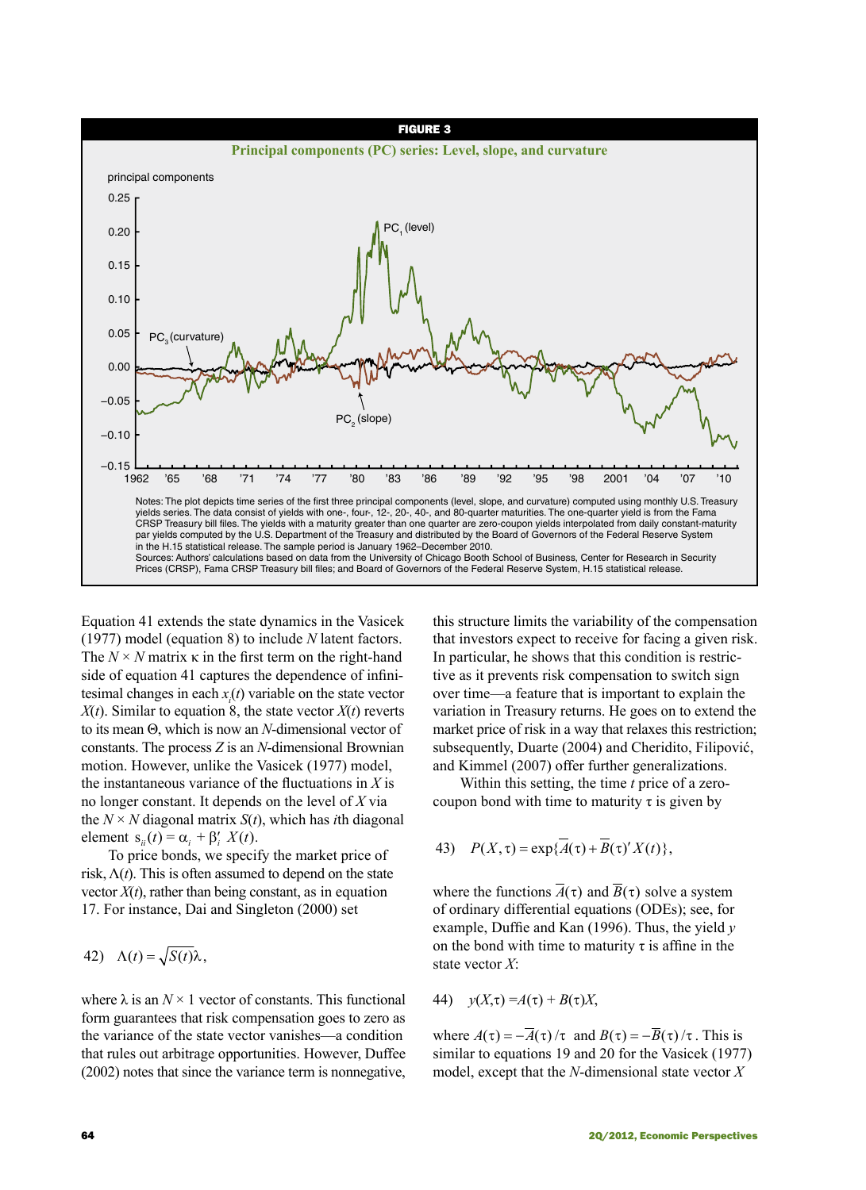

Equation 41 extends the state dynamics in the Vasicek (1977) model (equation 8) to include *N* latent factors. The  $N \times N$  matrix  $\kappa$  in the first term on the right-hand side of equation 41 captures the dependence of infinitesimal changes in each  $x_i(t)$  variable on the state vector  $X(t)$ . Similar to equation 8, the state vector  $X(t)$  reverts to its mean Θ, which is now an *N*-dimensional vector of constants. The process *Z* is an *N*-dimensional Brownian motion. However, unlike the Vasicek (1977) model, the instantaneous variance of the fluctuations in *X* is no longer constant. It depends on the level of *X* via the  $N \times N$  diagonal matrix  $S(t)$ , which has *i*th diagonal element  $s_{ii}(t) = \alpha_i + \beta'_i X(t)$ .

To price bonds, we specify the market price of risk,  $\Lambda(t)$ . This is often assumed to depend on the state vector  $X(t)$ , rather than being constant, as in equation 17. For instance, Dai and Singleton (2000) set

42) 
$$
\Lambda(t) = \sqrt{S(t)}\lambda,
$$

where  $\lambda$  is an  $N \times 1$  vector of constants. This functional form guarantees that risk compensation goes to zero as the variance of the state vector vanishes—a condition that rules out arbitrage opportunities. However, Duffee (2002) notes that since the variance term is nonnegative, this structure limits the variability of the compensation that investors expect to receive for facing a given risk. In particular, he shows that this condition is restrictive as it prevents risk compensation to switch sign over time—a feature that is important to explain the variation in Treasury returns. He goes on to extend the market price of risk in a way that relaxes this restriction; subsequently, Duarte (2004) and Cheridito, Filipović, and Kimmel (2007) offer further generalizations.

Within this setting, the time *t* price of a zerocoupon bond with time to maturity  $\tau$  is given by

43) 
$$
P(X,\tau) = \exp{\{\overline{A}(\tau) + \overline{B}(\tau)'X(t)\}},
$$

where the functions  $\overline{A}(\tau)$  and  $\overline{B}(\tau)$  solve a system of ordinary differential equations (ODEs); see, for example, Duffie and Kan (1996). Thus, the yield *y* on the bond with time to maturity  $\tau$  is affine in the state vector *X*:

44) 
$$
y(X,\tau) = A(\tau) + B(\tau)X,
$$

where  $A(\tau) = -\overline{A}(\tau)/\tau$  and  $B(\tau) = -\overline{B}(\tau)/\tau$ . This is similar to equations 19 and 20 for the Vasicek (1977) model, except that the *N*-dimensional state vector *X*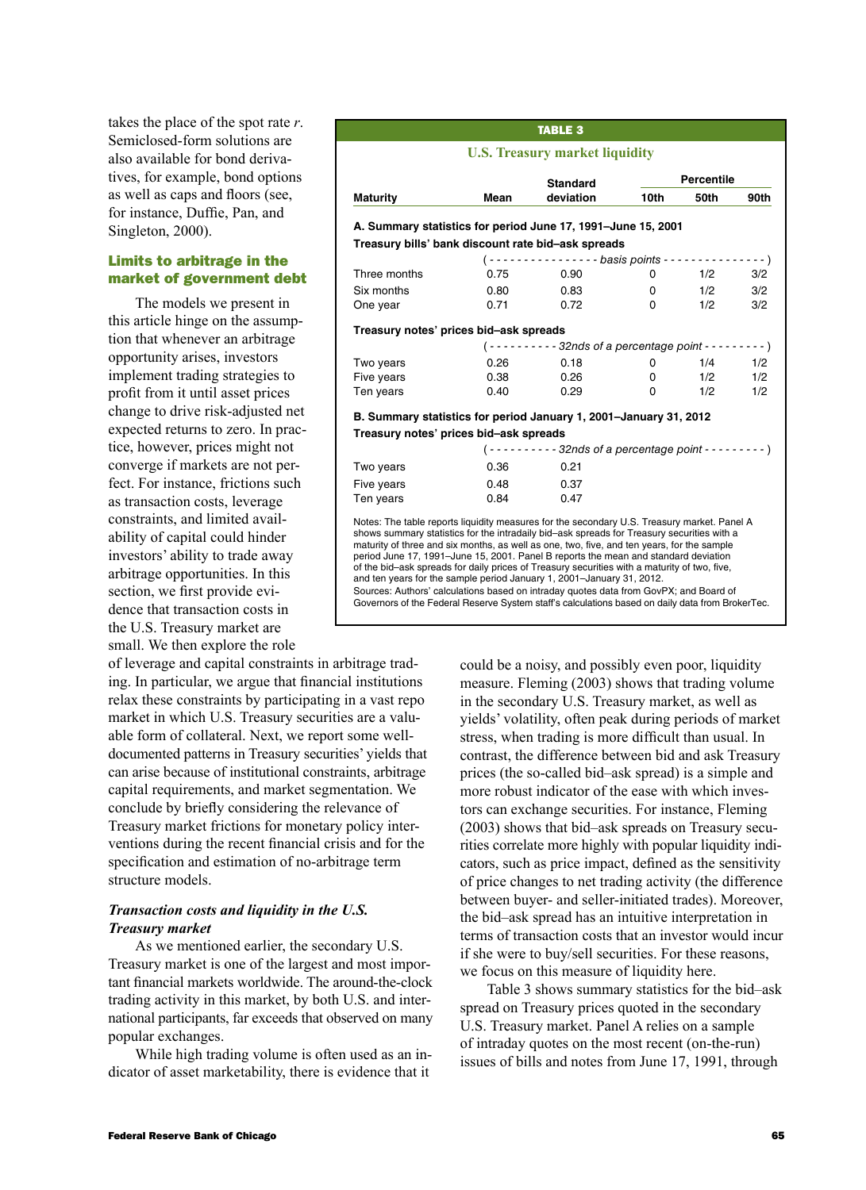takes the place of the spot rate *r*. Semiclosed-form solutions are also available for bond derivatives, for example, bond options as well as caps and floors (see, for instance, Duffie, Pan, and Singleton, 2000).

# Limits to arbitrage in the market of government debt

The models we present in this article hinge on the assumption that whenever an arbitrage opportunity arises, investors implement trading strategies to profit from it until asset prices change to drive risk-adjusted net expected returns to zero. In practice, however, prices might not converge if markets are not perfect. For instance, frictions such as transaction costs, leverage constraints, and limited availability of capital could hinder investors' ability to trade away arbitrage opportunities. In this section, we first provide evidence that transaction costs in the U.S. Treasury market are small. We then explore the role

of leverage and capital constraints in arbitrage trading. In particular, we argue that financial institutions relax these constraints by participating in a vast repo market in which U.S. Treasury securities are a valuable form of collateral. Next, we report some welldocumented patterns in Treasury securities' yields that can arise because of institutional constraints, arbitrage capital requirements, and market segmentation. We conclude by briefly considering the relevance of Treasury market frictions for monetary policy interventions during the recent financial crisis and for the specification and estimation of no-arbitrage term structure models.

# *Transaction costs and liquidity in the U.S. Treasury market*

As we mentioned earlier, the secondary U.S. Treasury market is one of the largest and most important financial markets worldwide. The around-the-clock trading activity in this market, by both U.S. and international participants, far exceeds that observed on many popular exchanges.

While high trading volume is often used as an indicator of asset marketability, there is evidence that it

### Table 3

# **U.S. Treasury market liquidity**

|                                                                   |      | <b>Standard</b>                                                          | <b>Percentile</b> |      |      |  |
|-------------------------------------------------------------------|------|--------------------------------------------------------------------------|-------------------|------|------|--|
| <b>Maturity</b>                                                   | Mean | deviation                                                                | 10th              | 50th | 90th |  |
| A. Summary statistics for period June 17, 1991-June 15, 2001      |      |                                                                          |                   |      |      |  |
| Treasury bills' bank discount rate bid-ask spreads                |      |                                                                          |                   |      |      |  |
|                                                                   |      |                                                                          |                   |      |      |  |
| Three months                                                      | 0.75 | 0.90                                                                     | 0                 | 1/2  | 3/2  |  |
| Six months                                                        | 0.80 | 0.83                                                                     | 0                 | 1/2  | 3/2  |  |
| One year                                                          | 0.71 | 0.72                                                                     | 0                 | 1/2  | 3/2  |  |
| Treasury notes' prices bid-ask spreads                            |      |                                                                          |                   |      |      |  |
|                                                                   |      | $(- \cdots - \cdots - 32n ds)$ of a percentage point $- \cdots - \cdots$ |                   |      |      |  |
| Two years                                                         | 0.26 | 0.18                                                                     | 0                 | 1/4  | 1/2  |  |
| Five years                                                        | 0.38 | 0.26                                                                     | 0                 | 1/2  | 1/2  |  |
| Ten years                                                         | 0.40 | 0.29                                                                     | 0                 | 1/2  | 1/2  |  |
| B. Summary statistics for period January 1, 2001–January 31, 2012 |      |                                                                          |                   |      |      |  |
| Treasury notes' prices bid-ask spreads                            |      |                                                                          |                   |      |      |  |
|                                                                   |      | $(- \cdots - \cdots - 32n ds)$ of a percentage point $- \cdots - \cdots$ |                   |      |      |  |
| Two years                                                         | 0.36 | 0.21                                                                     |                   |      |      |  |
| Five years                                                        | 0.48 | 0.37                                                                     |                   |      |      |  |
| Ten years                                                         | 0.84 | 0.47                                                                     |                   |      |      |  |

period June 17, 1991–June 15, 2001. Panel B reports the mean and standard deviation of the bid–ask spreads for daily prices of Treasury securities with a maturity of two, five, and ten years for the sample period January 1, 2001–January 31, 2012. Sources: Authors' calculations based on intraday quotes data from GovPX; and Board of

Governors of the Federal Reserve System staff's calculations based on daily data from BrokerTec.

could be a noisy, and possibly even poor, liquidity measure. Fleming (2003) shows that trading volume in the secondary U.S. Treasury market, as well as yields' volatility, often peak during periods of market stress, when trading is more difficult than usual. In contrast, the difference between bid and ask Treasury prices (the so-called bid–ask spread) is a simple and more robust indicator of the ease with which investors can exchange securities. For instance, Fleming (2003) shows that bid–ask spreads on Treasury securities correlate more highly with popular liquidity indicators, such as price impact, defined as the sensitivity of price changes to net trading activity (the difference between buyer- and seller-initiated trades). Moreover, the bid–ask spread has an intuitive interpretation in terms of transaction costs that an investor would incur if she were to buy/sell securities. For these reasons, we focus on this measure of liquidity here.

Table 3 shows summary statistics for the bid–ask spread on Treasury prices quoted in the secondary U.S. Treasury market. Panel A relies on a sample of intraday quotes on the most recent (on-the-run) issues of bills and notes from June 17, 1991, through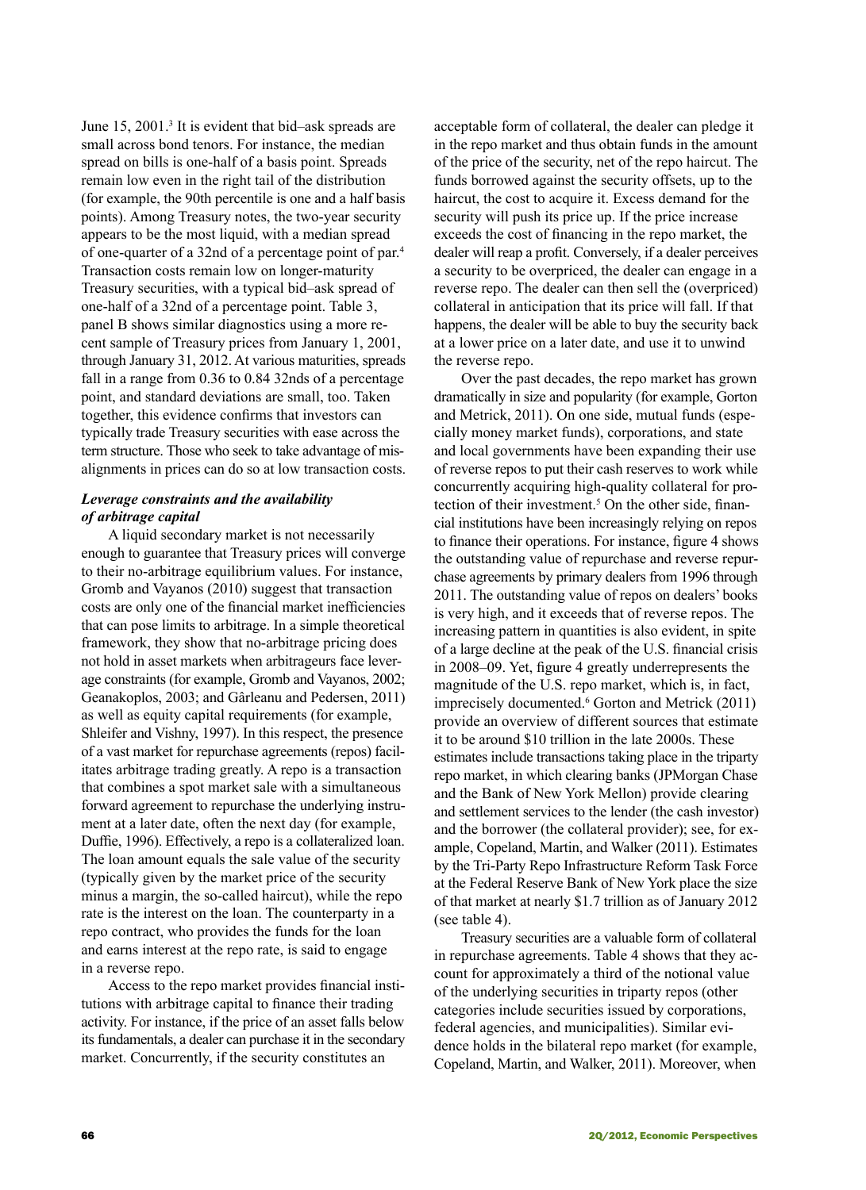June 15, 2001.<sup>3</sup> It is evident that bid-ask spreads are small across bond tenors. For instance, the median spread on bills is one-half of a basis point. Spreads remain low even in the right tail of the distribution (for example, the 90th percentile is one and a half basis points). Among Treasury notes, the two-year security appears to be the most liquid, with a median spread of one-quarter of a 32nd of a percentage point of par.<sup>4</sup> Transaction costs remain low on longer-maturity Treasury securities, with a typical bid–ask spread of one-half of a 32nd of a percentage point. Table 3, panel B shows similar diagnostics using a more recent sample of Treasury prices from January 1, 2001, through January 31, 2012. At various maturities, spreads fall in a range from 0.36 to 0.84 32nds of a percentage point, and standard deviations are small, too. Taken together, this evidence confirms that investors can typically trade Treasury securities with ease across the term structure. Those who seek to take advantage of misalignments in prices can do so at low transaction costs.

### *Leverage constraints and the availability of arbitrage capital*

A liquid secondary market is not necessarily enough to guarantee that Treasury prices will converge to their no-arbitrage equilibrium values. For instance, Gromb and Vayanos (2010) suggest that transaction costs are only one of the financial market inefficiencies that can pose limits to arbitrage. In a simple theoretical framework, they show that no-arbitrage pricing does not hold in asset markets when arbitrageurs face leverage constraints (for example, Gromb and Vayanos, 2002; Geanakoplos, 2003; and Gârleanu and Pedersen, 2011) as well as equity capital requirements (for example, Shleifer and Vishny, 1997). In this respect, the presence of a vast market for repurchase agreements (repos) facilitates arbitrage trading greatly. A repo is a transaction that combines a spot market sale with a simultaneous forward agreement to repurchase the underlying instrument at a later date, often the next day (for example, Duffie, 1996). Effectively, a repo is a collateralized loan. The loan amount equals the sale value of the security (typically given by the market price of the security minus a margin, the so-called haircut), while the repo rate is the interest on the loan. The counterparty in a repo contract, who provides the funds for the loan and earns interest at the repo rate, is said to engage in a reverse repo.

Access to the repo market provides financial institutions with arbitrage capital to finance their trading activity. For instance, if the price of an asset falls below its fundamentals, a dealer can purchase it in the secondary market. Concurrently, if the security constitutes an

acceptable form of collateral, the dealer can pledge it in the repo market and thus obtain funds in the amount of the price of the security, net of the repo haircut. The funds borrowed against the security offsets, up to the haircut, the cost to acquire it. Excess demand for the security will push its price up. If the price increase exceeds the cost of financing in the repo market, the dealer will reap a profit. Conversely, if a dealer perceives a security to be overpriced, the dealer can engage in a reverse repo. The dealer can then sell the (overpriced) collateral in anticipation that its price will fall. If that happens, the dealer will be able to buy the security back at a lower price on a later date, and use it to unwind the reverse repo.

Over the past decades, the repo market has grown dramatically in size and popularity (for example, Gorton and Metrick, 2011). On one side, mutual funds (especially money market funds), corporations, and state and local governments have been expanding their use of reverse repos to put their cash reserves to work while concurrently acquiring high-quality collateral for protection of their investment.<sup>5</sup> On the other side, financial institutions have been increasingly relying on repos to finance their operations. For instance, figure 4 shows the outstanding value of repurchase and reverse repurchase agreements by primary dealers from 1996 through 2011. The outstanding value of repos on dealers' books is very high, and it exceeds that of reverse repos. The increasing pattern in quantities is also evident, in spite of a large decline at the peak of the U.S. financial crisis in 2008–09. Yet, figure 4 greatly underrepresents the magnitude of the U.S. repo market, which is, in fact, imprecisely documented.<sup>6</sup> Gorton and Metrick (2011) provide an overview of different sources that estimate it to be around \$10 trillion in the late 2000s. These estimates include transactions taking place in the triparty repo market, in which clearing banks (JPMorgan Chase and the Bank of New York Mellon) provide clearing and settlement services to the lender (the cash investor) and the borrower (the collateral provider); see, for example, Copeland, Martin, and Walker (2011). Estimates by the Tri-Party Repo Infrastructure Reform Task Force at the Federal Reserve Bank of New York place the size of that market at nearly \$1.7 trillion as of January 2012 (see table 4).

Treasury securities are a valuable form of collateral in repurchase agreements. Table 4 shows that they account for approximately a third of the notional value of the underlying securities in triparty repos (other categories include securities issued by corporations, federal agencies, and municipalities). Similar evidence holds in the bilateral repo market (for example, Copeland, Martin, and Walker, 2011). Moreover, when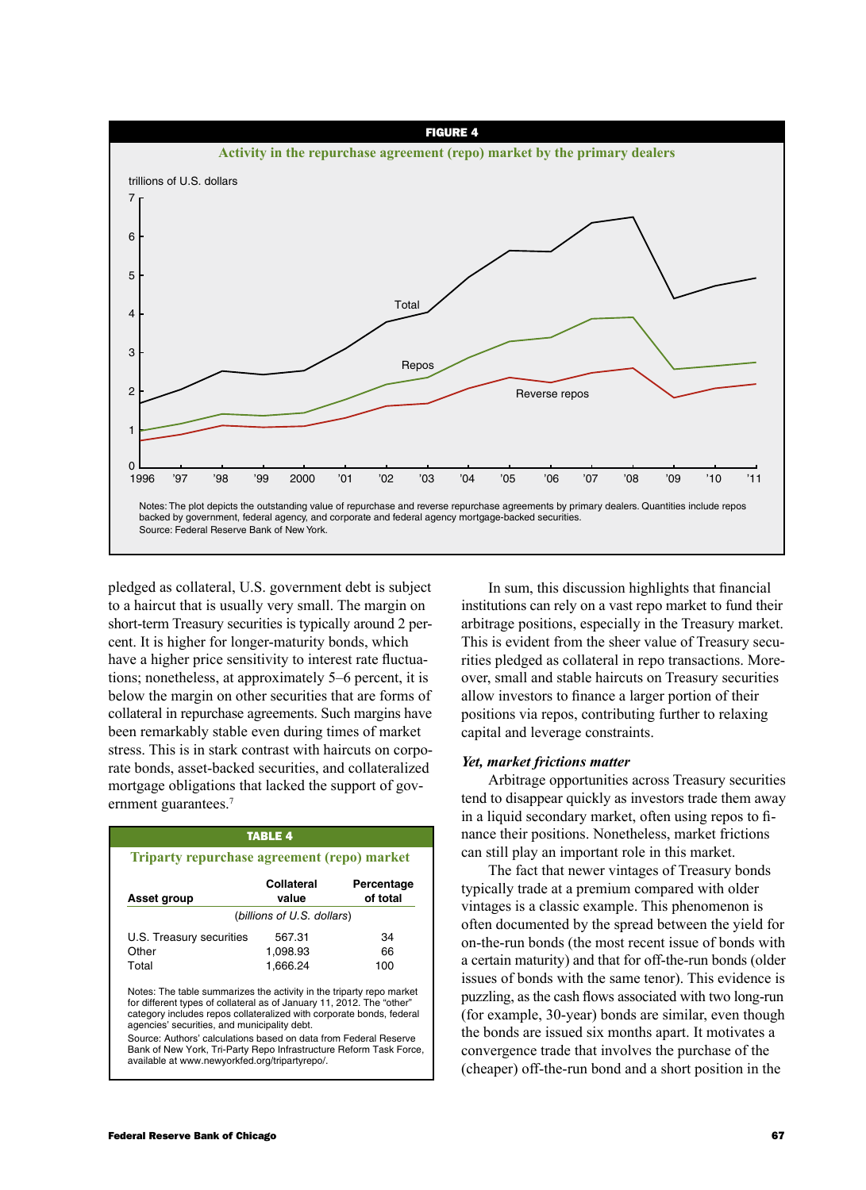

pledged as collateral, U.S. government debt is subject to a haircut that is usually very small. The margin on short-term Treasury securities is typically around 2 percent. It is higher for longer-maturity bonds, which have a higher price sensitivity to interest rate fluctuations; nonetheless, at approximately 5–6 percent, it is below the margin on other securities that are forms of collateral in repurchase agreements. Such margins have been remarkably stable even during times of market stress. This is in stark contrast with haircuts on corporate bonds, asset-backed securities, and collateralized mortgage obligations that lacked the support of government guarantees.<sup>7</sup>

| <b>TABLE 4</b><br>Triparty repurchase agreement (repo) market                                                                                                                                                                                                                                                                                                                                                                                                     |                            |                        |  |  |  |
|-------------------------------------------------------------------------------------------------------------------------------------------------------------------------------------------------------------------------------------------------------------------------------------------------------------------------------------------------------------------------------------------------------------------------------------------------------------------|----------------------------|------------------------|--|--|--|
| Asset group                                                                                                                                                                                                                                                                                                                                                                                                                                                       | Collateral<br>value        | Percentage<br>of total |  |  |  |
|                                                                                                                                                                                                                                                                                                                                                                                                                                                                   | (billions of U.S. dollars) |                        |  |  |  |
| U.S. Treasury securities                                                                                                                                                                                                                                                                                                                                                                                                                                          | 567.31                     | 34                     |  |  |  |
| Other                                                                                                                                                                                                                                                                                                                                                                                                                                                             | 1,098.93                   | 66                     |  |  |  |
| Total                                                                                                                                                                                                                                                                                                                                                                                                                                                             | 1.666.24                   | 100                    |  |  |  |
| Notes: The table summarizes the activity in the triparty repo market<br>for different types of collateral as of January 11, 2012. The "other"<br>category includes repos collateralized with corporate bonds, federal<br>agencies' securities, and municipality debt.<br>Source: Authors' calculations based on data from Federal Reserve<br>Bank of New York, Tri-Party Repo Infrastructure Reform Task Force,<br>available at www.newyorkfed.org/tripartyrepo/. |                            |                        |  |  |  |

In sum, this discussion highlights that financial institutions can rely on a vast repo market to fund their arbitrage positions, especially in the Treasury market. This is evident from the sheer value of Treasury securities pledged as collateral in repo transactions. Moreover, small and stable haircuts on Treasury securities allow investors to finance a larger portion of their positions via repos, contributing further to relaxing capital and leverage constraints.

### *Yet, market frictions matter*

Arbitrage opportunities across Treasury securities tend to disappear quickly as investors trade them away in a liquid secondary market, often using repos to finance their positions. Nonetheless, market frictions can still play an important role in this market.

The fact that newer vintages of Treasury bonds typically trade at a premium compared with older vintages is a classic example. This phenomenon is often documented by the spread between the yield for on-the-run bonds (the most recent issue of bonds with a certain maturity) and that for off-the-run bonds (older issues of bonds with the same tenor). This evidence is puzzling, as the cash flows associated with two long-run (for example, 30-year) bonds are similar, even though the bonds are issued six months apart. It motivates a convergence trade that involves the purchase of the (cheaper) off-the-run bond and a short position in the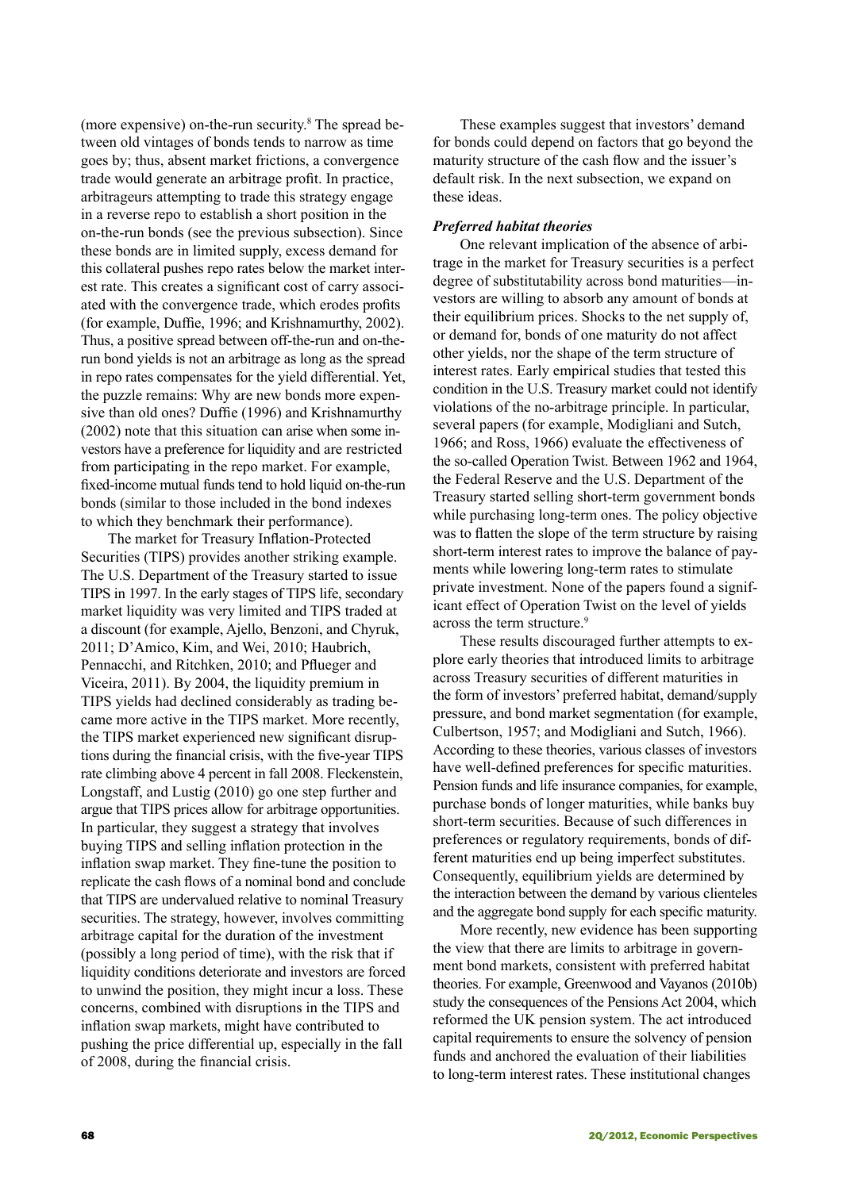(more expensive) on-the-run security.<sup>8</sup> The spread between old vintages of bonds tends to narrow as time goes by; thus, absent market frictions, a convergence trade would generate an arbitrage profit. In practice, arbitrageurs attempting to trade this strategy engage in a reverse repo to establish a short position in the on-the-run bonds (see the previous subsection). Since these bonds are in limited supply, excess demand for this collateral pushes repo rates below the market interest rate. This creates a significant cost of carry associated with the convergence trade, which erodes profits (for example, Duffie, 1996; and Krishnamurthy, 2002). Thus, a positive spread between off-the-run and on-therun bond yields is not an arbitrage as long as the spread in repo rates compensates for the yield differential. Yet, the puzzle remains: Why are new bonds more expensive than old ones? Duffie (1996) and Krishnamurthy (2002) note that this situation can arise when some investors have a preference for liquidity and are restricted from participating in the repo market. For example, fixed-income mutual funds tend to hold liquid on-the-run bonds (similar to those included in the bond indexes to which they benchmark their performance).

The market for Treasury Inflation-Protected Securities (TIPS) provides another striking example. The U.S. Department of the Treasury started to issue TIPS in 1997. In the early stages of TIPS life, secondary market liquidity was very limited and TIPS traded at a discount (for example, Ajello, Benzoni, and Chyruk, 2011; D'Amico, Kim, and Wei, 2010; Haubrich, Pennacchi, and Ritchken, 2010; and Pflueger and Viceira, 2011). By 2004, the liquidity premium in TIPS yields had declined considerably as trading became more active in the TIPS market. More recently, the TIPS market experienced new significant disruptions during the financial crisis, with the five-year TIPS rate climbing above 4 percent in fall 2008. Fleckenstein, Longstaff, and Lustig (2010) go one step further and argue that TIPS prices allow for arbitrage opportunities. In particular, they suggest a strategy that involves buying TIPS and selling inflation protection in the inflation swap market. They fine-tune the position to replicate the cash flows of a nominal bond and conclude that TIPS are undervalued relative to nominal Treasury securities. The strategy, however, involves committing arbitrage capital for the duration of the investment (possibly a long period of time), with the risk that if liquidity conditions deteriorate and investors are forced to unwind the position, they might incur a loss. These concerns, combined with disruptions in the TIPS and inflation swap markets, might have contributed to pushing the price differential up, especially in the fall of 2008, during the financial crisis.

These examples suggest that investors' demand for bonds could depend on factors that go beyond the maturity structure of the cash flow and the issuer's default risk. In the next subsection, we expand on these ideas.

### *Preferred habitat theories*

One relevant implication of the absence of arbitrage in the market for Treasury securities is a perfect degree of substitutability across bond maturities—investors are willing to absorb any amount of bonds at their equilibrium prices. Shocks to the net supply of, or demand for, bonds of one maturity do not affect other yields, nor the shape of the term structure of interest rates. Early empirical studies that tested this condition in the U.S. Treasury market could not identify violations of the no-arbitrage principle. In particular, several papers (for example, Modigliani and Sutch, 1966; and Ross, 1966) evaluate the effectiveness of the so-called Operation Twist. Between 1962 and 1964, the Federal Reserve and the U.S. Department of the Treasury started selling short-term government bonds while purchasing long-term ones. The policy objective was to flatten the slope of the term structure by raising short-term interest rates to improve the balance of payments while lowering long-term rates to stimulate private investment. None of the papers found a significant effect of Operation Twist on the level of yields across the term structure.<sup>9</sup>

These results discouraged further attempts to explore early theories that introduced limits to arbitrage across Treasury securities of different maturities in the form of investors' preferred habitat, demand/supply pressure, and bond market segmentation (for example, Culbertson, 1957; and Modigliani and Sutch, 1966). According to these theories, various classes of investors have well-defined preferences for specific maturities. Pension funds and life insurance companies, for example, purchase bonds of longer maturities, while banks buy short-term securities. Because of such differences in preferences or regulatory requirements, bonds of different maturities end up being imperfect substitutes. Consequently, equilibrium yields are determined by the interaction between the demand by various clienteles and the aggregate bond supply for each specific maturity.

More recently, new evidence has been supporting the view that there are limits to arbitrage in government bond markets, consistent with preferred habitat theories. For example, Greenwood and Vayanos (2010b) study the consequences of the Pensions Act 2004, which reformed the UK pension system. The act introduced capital requirements to ensure the solvency of pension funds and anchored the evaluation of their liabilities to long-term interest rates. These institutional changes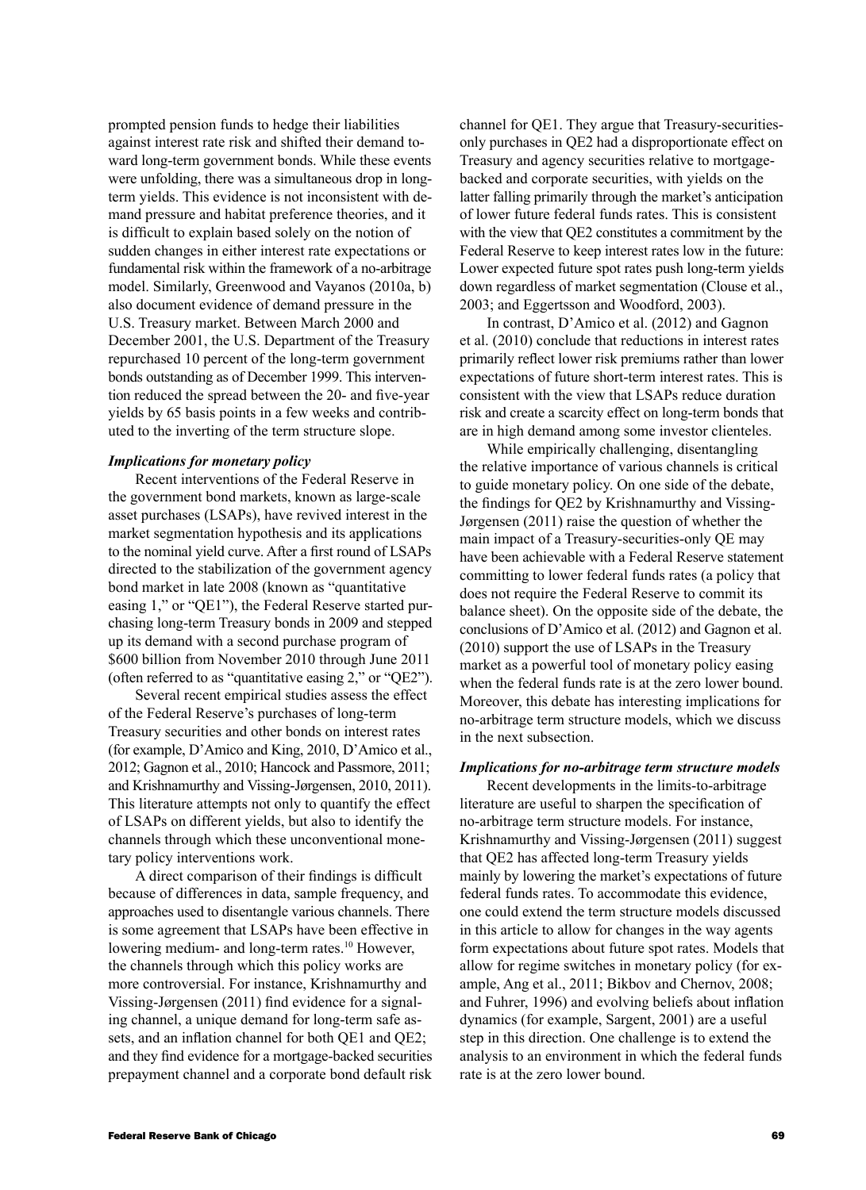prompted pension funds to hedge their liabilities against interest rate risk and shifted their demand toward long-term government bonds. While these events were unfolding, there was a simultaneous drop in longterm yields. This evidence is not inconsistent with demand pressure and habitat preference theories, and it is difficult to explain based solely on the notion of sudden changes in either interest rate expectations or fundamental risk within the framework of a no-arbitrage model. Similarly, Greenwood and Vayanos (2010a, b) also document evidence of demand pressure in the U.S. Treasury market. Between March 2000 and December 2001, the U.S. Department of the Treasury repurchased 10 percent of the long-term government bonds outstanding as of December 1999. This intervention reduced the spread between the 20- and five-year yields by 65 basis points in a few weeks and contributed to the inverting of the term structure slope.

### *Implications for monetary policy*

Recent interventions of the Federal Reserve in the government bond markets, known as large-scale asset purchases (LSAPs), have revived interest in the market segmentation hypothesis and its applications to the nominal yield curve. After a first round of LSAPs directed to the stabilization of the government agency bond market in late 2008 (known as "quantitative easing 1," or "QE1"), the Federal Reserve started purchasing long-term Treasury bonds in 2009 and stepped up its demand with a second purchase program of \$600 billion from November 2010 through June 2011 (often referred to as "quantitative easing 2," or "QE2").

Several recent empirical studies assess the effect of the Federal Reserve's purchases of long-term Treasury securities and other bonds on interest rates (for example, D'Amico and King, 2010, D'Amico et al., 2012; Gagnon et al., 2010; Hancock and Passmore, 2011; and Krishnamurthy and Vissing-Jørgensen, 2010, 2011). This literature attempts not only to quantify the effect of LSAPs on different yields, but also to identify the channels through which these unconventional monetary policy interventions work.

A direct comparison of their findings is difficult because of differences in data, sample frequency, and approaches used to disentangle various channels. There is some agreement that LSAPs have been effective in lowering medium- and long-term rates.<sup>10</sup> However, the channels through which this policy works are more controversial. For instance, Krishnamurthy and Vissing-Jørgensen (2011) find evidence for a signaling channel, a unique demand for long-term safe assets, and an inflation channel for both QE1 and QE2; and they find evidence for a mortgage-backed securities prepayment channel and a corporate bond default risk channel for QE1. They argue that Treasury-securitiesonly purchases in QE2 had a disproportionate effect on Treasury and agency securities relative to mortgagebacked and corporate securities, with yields on the latter falling primarily through the market's anticipation of lower future federal funds rates. This is consistent with the view that QE2 constitutes a commitment by the Federal Reserve to keep interest rates low in the future: Lower expected future spot rates push long-term yields down regardless of market segmentation (Clouse et al., 2003; and Eggertsson and Woodford, 2003).

In contrast, D'Amico et al. (2012) and Gagnon et al. (2010) conclude that reductions in interest rates primarily reflect lower risk premiums rather than lower expectations of future short-term interest rates. This is consistent with the view that LSAPs reduce duration risk and create a scarcity effect on long-term bonds that are in high demand among some investor clienteles.

While empirically challenging, disentangling the relative importance of various channels is critical to guide monetary policy. On one side of the debate, the findings for QE2 by Krishnamurthy and Vissing-Jørgensen (2011) raise the question of whether the main impact of a Treasury-securities-only QE may have been achievable with a Federal Reserve statement committing to lower federal funds rates (a policy that does not require the Federal Reserve to commit its balance sheet). On the opposite side of the debate, the conclusions of D'Amico et al. (2012) and Gagnon et al. (2010) support the use of LSAPs in the Treasury market as a powerful tool of monetary policy easing when the federal funds rate is at the zero lower bound. Moreover, this debate has interesting implications for no-arbitrage term structure models, which we discuss in the next subsection.

### *Implications for no-arbitrage term structure models*

Recent developments in the limits-to-arbitrage literature are useful to sharpen the specification of no-arbitrage term structure models. For instance, Krishnamurthy and Vissing-Jørgensen (2011) suggest that QE2 has affected long-term Treasury yields mainly by lowering the market's expectations of future federal funds rates. To accommodate this evidence, one could extend the term structure models discussed in this article to allow for changes in the way agents form expectations about future spot rates. Models that allow for regime switches in monetary policy (for example, Ang et al., 2011; Bikbov and Chernov, 2008; and Fuhrer, 1996) and evolving beliefs about inflation dynamics (for example, Sargent, 2001) are a useful step in this direction. One challenge is to extend the analysis to an environment in which the federal funds rate is at the zero lower bound.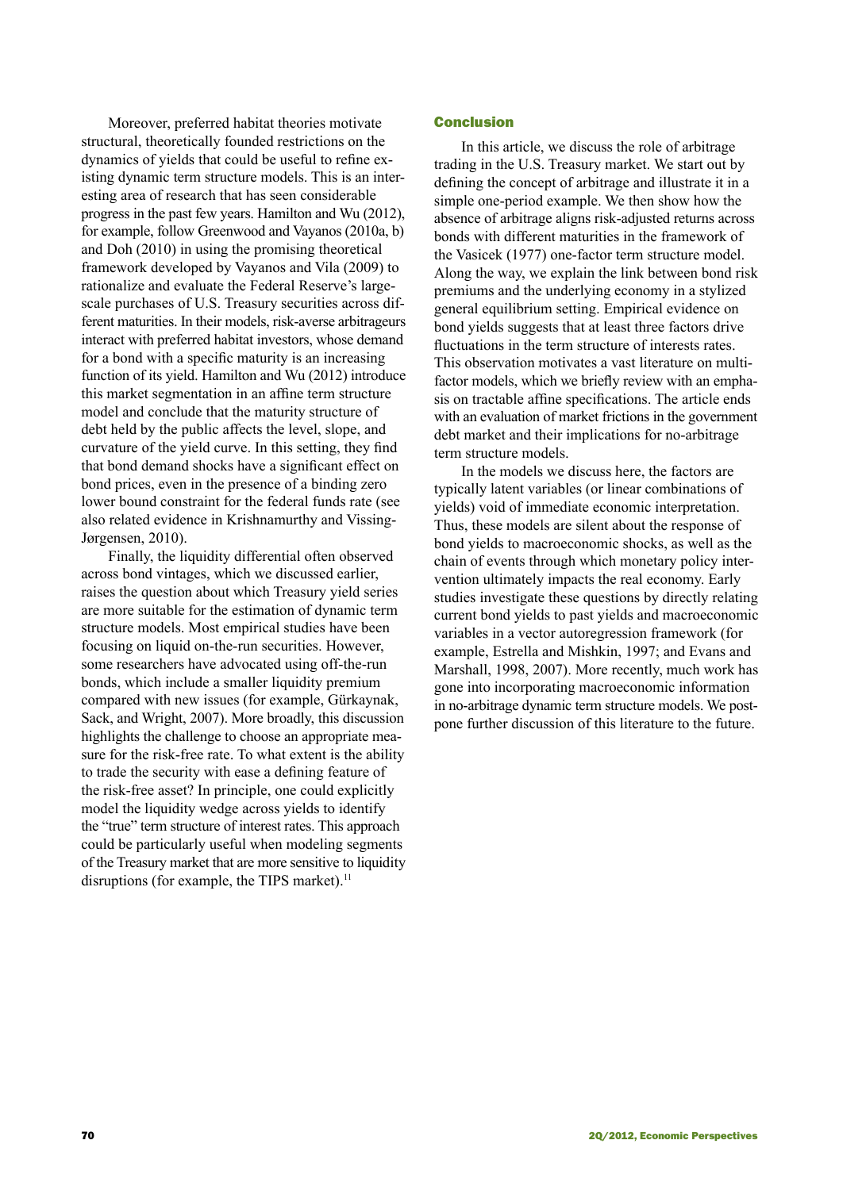Moreover, preferred habitat theories motivate structural, theoretically founded restrictions on the dynamics of yields that could be useful to refine existing dynamic term structure models. This is an interesting area of research that has seen considerable progress in the past few years. Hamilton and Wu (2012), for example, follow Greenwood and Vayanos (2010a, b) and Doh (2010) in using the promising theoretical framework developed by Vayanos and Vila (2009) to rationalize and evaluate the Federal Reserve's largescale purchases of U.S. Treasury securities across different maturities. In their models, risk-averse arbitrageurs interact with preferred habitat investors, whose demand for a bond with a specific maturity is an increasing function of its yield. Hamilton and Wu (2012) introduce this market segmentation in an affine term structure model and conclude that the maturity structure of debt held by the public affects the level, slope, and curvature of the yield curve. In this setting, they find that bond demand shocks have a significant effect on bond prices, even in the presence of a binding zero lower bound constraint for the federal funds rate (see also related evidence in Krishnamurthy and Vissing-Jørgensen, 2010).

Finally, the liquidity differential often observed across bond vintages, which we discussed earlier, raises the question about which Treasury yield series are more suitable for the estimation of dynamic term structure models. Most empirical studies have been focusing on liquid on-the-run securities. However, some researchers have advocated using off-the-run bonds, which include a smaller liquidity premium compared with new issues (for example, Gürkaynak, Sack, and Wright, 2007). More broadly, this discussion highlights the challenge to choose an appropriate measure for the risk-free rate. To what extent is the ability to trade the security with ease a defining feature of the risk-free asset? In principle, one could explicitly model the liquidity wedge across yields to identify the "true" term structure of interest rates. This approach could be particularly useful when modeling segments of the Treasury market that are more sensitive to liquidity disruptions (for example, the TIPS market).<sup>11</sup>

### Conclusion

In this article, we discuss the role of arbitrage trading in the U.S. Treasury market. We start out by defining the concept of arbitrage and illustrate it in a simple one-period example. We then show how the absence of arbitrage aligns risk-adjusted returns across bonds with different maturities in the framework of the Vasicek (1977) one-factor term structure model. Along the way, we explain the link between bond risk premiums and the underlying economy in a stylized general equilibrium setting. Empirical evidence on bond yields suggests that at least three factors drive fluctuations in the term structure of interests rates. This observation motivates a vast literature on multifactor models, which we briefly review with an emphasis on tractable affine specifications. The article ends with an evaluation of market frictions in the government debt market and their implications for no-arbitrage term structure models.

In the models we discuss here, the factors are typically latent variables (or linear combinations of yields) void of immediate economic interpretation. Thus, these models are silent about the response of bond yields to macroeconomic shocks, as well as the chain of events through which monetary policy intervention ultimately impacts the real economy. Early studies investigate these questions by directly relating current bond yields to past yields and macroeconomic variables in a vector autoregression framework (for example, Estrella and Mishkin, 1997; and Evans and Marshall, 1998, 2007). More recently, much work has gone into incorporating macroeconomic information in no-arbitrage dynamic term structure models. We postpone further discussion of this literature to the future.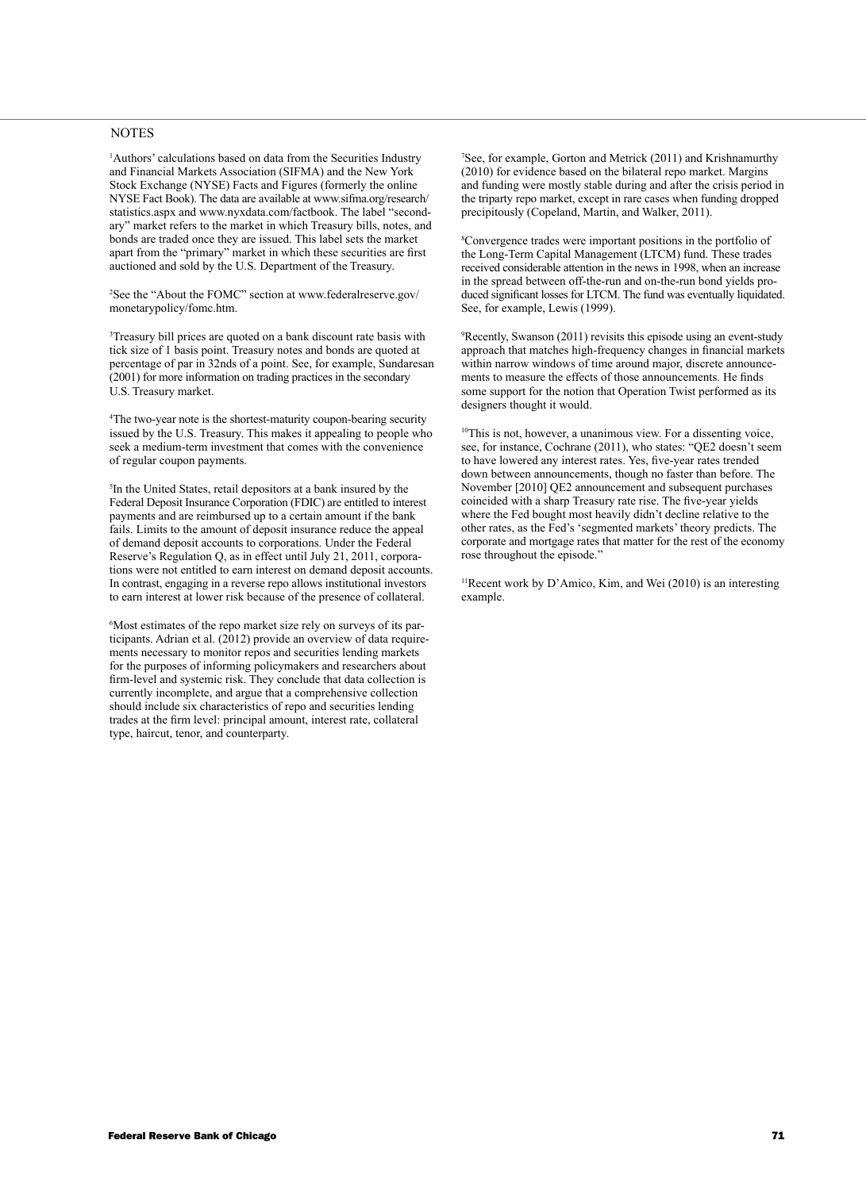#### **NOTES**

1 Authors' calculations based on data from the Securities Industry and Financial Markets Association (SIFMA) and the New York Stock Exchange (NYSE) Facts and Figures (formerly the online NYSE Fact Book). The data are available at www.sifma.org/research/ statistics.aspx and www.nyxdata.com/factbook. The label "secondary" market refers to the market in which Treasury bills, notes, and bonds are traded once they are issued. This label sets the market apart from the "primary" market in which these securities are first auctioned and sold by the U.S. Department of the Treasury.

<sup>2</sup>See the "About the FOMC" section at www.federalreserve.gov/ monetarypolicy/fomc.htm.

3 Treasury bill prices are quoted on a bank discount rate basis with tick size of 1 basis point. Treasury notes and bonds are quoted at percentage of par in 32nds of a point. See, for example, Sundaresan (2001) for more information on trading practices in the secondary U.S. Treasury market.

4 The two-year note is the shortest-maturity coupon-bearing security issued by the U.S. Treasury. This makes it appealing to people who seek a medium-term investment that comes with the convenience of regular coupon payments.

5 In the United States, retail depositors at a bank insured by the Federal Deposit Insurance Corporation (FDIC) are entitled to interest payments and are reimbursed up to a certain amount if the bank fails. Limits to the amount of deposit insurance reduce the appeal of demand deposit accounts to corporations. Under the Federal Reserve's Regulation Q, as in effect until July 21, 2011, corporations were not entitled to earn interest on demand deposit accounts. In contrast, engaging in a reverse repo allows institutional investors to earn interest at lower risk because of the presence of collateral.

6 Most estimates of the repo market size rely on surveys of its participants. Adrian et al. (2012) provide an overview of data requirements necessary to monitor repos and securities lending markets for the purposes of informing policymakers and researchers about firm-level and systemic risk. They conclude that data collection is currently incomplete, and argue that a comprehensive collection should include six characteristics of repo and securities lending trades at the firm level: principal amount, interest rate, collateral type, haircut, tenor, and counterparty.

7 See, for example, Gorton and Metrick (2011) and Krishnamurthy (2010) for evidence based on the bilateral repo market. Margins and funding were mostly stable during and after the crisis period in the triparty repo market, except in rare cases when funding dropped precipitously (Copeland, Martin, and Walker, 2011).

8 Convergence trades were important positions in the portfolio of the Long-Term Capital Management (LTCM) fund. These trades received considerable attention in the news in 1998, when an increase in the spread between off-the-run and on-the-run bond yields produced significant losses for LTCM. The fund was eventually liquidated. See, for example, Lewis (1999).

9 Recently, Swanson (2011) revisits this episode using an event-study approach that matches high-frequency changes in financial markets within narrow windows of time around major, discrete announcements to measure the effects of those announcements. He finds some support for the notion that Operation Twist performed as its designers thought it would.

 $10$ This is not, however, a unanimous view. For a dissenting voice, see, for instance, Cochrane (2011), who states: "QE2 doesn't seem to have lowered any interest rates. Yes, five-year rates trended down between announcements, though no faster than before. The November [2010] QE2 announcement and subsequent purchases coincided with a sharp Treasury rate rise. The five-year yields where the Fed bought most heavily didn't decline relative to the other rates, as the Fed's 'segmented markets' theory predicts. The corporate and mortgage rates that matter for the rest of the economy rose throughout the episode."

 $11$ Recent work by D'Amico, Kim, and Wei (2010) is an interesting example.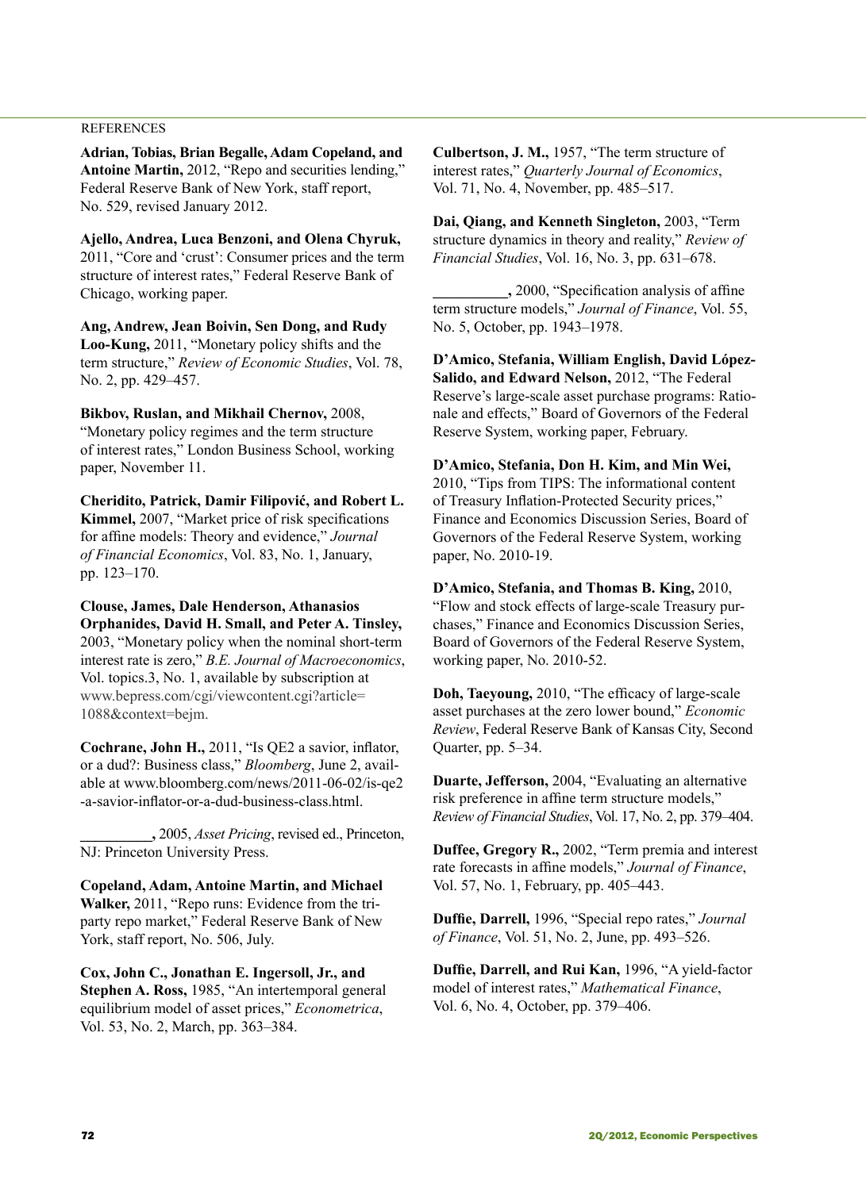### **REFERENCES**

**Adrian, Tobias, Brian Begalle, Adam Copeland, and Antoine Martin,** 2012, "Repo and securities lending," Federal Reserve Bank of New York, staff report, No. 529, revised January 2012.

**Ajello, Andrea, Luca Benzoni, and Olena Chyruk,** 2011, "Core and 'crust': Consumer prices and the term structure of interest rates," Federal Reserve Bank of Chicago, working paper.

**Ang, Andrew, Jean Boivin, Sen Dong, and Rudy Loo-Kung,** 2011, "Monetary policy shifts and the term structure," *Review of Economic Studies*, Vol. 78, No. 2, pp. 429–457.

**Bikbov, Ruslan, and Mikhail Chernov,** 2008, "Monetary policy regimes and the term structure of interest rates," London Business School, working paper, November 11.

**Cheridito, Patrick, Damir Filipović, and Robert L. Kimmel,** 2007, "Market price of risk specifications for affine models: Theory and evidence," *Journal of Financial Economics*, Vol. 83, No. 1, January, pp. 123–170.

**Clouse, James, Dale Henderson, Athanasios Orphanides, David H. Small, and Peter A. Tinsley,** 2003, "Monetary policy when the nominal short-term interest rate is zero," *B.E. Journal of Macroeconomics*, Vol. topics.3, No. 1, available by subscription at www.bepress.com/cgi/viewcontent.cgi?article= 1088&context=bejm.

**Cochrane, John H.,** 2011, "Is QE2 a savior, inflator, or a dud?: Business class," *Bloomberg*, June 2, available at www.bloomberg.com/news/2011-06-02/is-qe2 -a-savior-inflator-or-a-dud-business-class.html.

**\_\_\_\_\_\_\_\_\_\_,** 2005, *Asset Pricing*, revised ed., Princeton, NJ: Princeton University Press.

**Copeland, Adam, Antoine Martin, and Michael Walker,** 2011, "Repo runs: Evidence from the triparty repo market," Federal Reserve Bank of New York, staff report, No. 506, July.

**Cox, John C., Jonathan E. Ingersoll, Jr., and Stephen A. Ross,** 1985, "An intertemporal general equilibrium model of asset prices," *Econometrica*, Vol. 53, No. 2, March, pp. 363–384.

**Culbertson, J. M.,** 1957, "The term structure of interest rates," *Quarterly Journal of Economics*, Vol. 71, No. 4, November, pp. 485–517.

**Dai, Qiang, and Kenneth Singleton,** 2003, "Term structure dynamics in theory and reality," *Review of Financial Studies*, Vol. 16, No. 3, pp. 631–678.

**\_\_\_\_\_\_\_\_\_\_,** 2000, "Specification analysis of affine term structure models," *Journal of Finance*, Vol. 55, No. 5, October, pp. 1943–1978.

**D'Amico, Stefania, William English, David López-Salido, and Edward Nelson,** 2012, "The Federal Reserve's large-scale asset purchase programs: Rationale and effects," Board of Governors of the Federal Reserve System, working paper, February.

**D'Amico, Stefania, Don H. Kim, and Min Wei,** 2010, "Tips from TIPS: The informational content of Treasury Inflation-Protected Security prices," Finance and Economics Discussion Series, Board of Governors of the Federal Reserve System, working paper, No. 2010-19.

**D'Amico, Stefania, and Thomas B. King,** 2010, "Flow and stock effects of large-scale Treasury purchases," Finance and Economics Discussion Series, Board of Governors of the Federal Reserve System, working paper, No. 2010-52.

**Doh, Taeyoung,** 2010, "The efficacy of large-scale asset purchases at the zero lower bound," *Economic Review*, Federal Reserve Bank of Kansas City, Second Quarter, pp. 5–34.

**Duarte, Jefferson,** 2004, "Evaluating an alternative risk preference in affine term structure models," *Review of Financial Studies*, Vol. 17, No. 2, pp. 379–404.

**Duffee, Gregory R.,** 2002, "Term premia and interest rate forecasts in affine models," *Journal of Finance*, Vol. 57, No. 1, February, pp. 405–443.

**Duffie, Darrell,** 1996, "Special repo rates," *Journal of Finance*, Vol. 51, No. 2, June, pp. 493–526.

**Duffie, Darrell, and Rui Kan,** 1996, "A yield-factor model of interest rates," *Mathematical Finance*, Vol. 6, No. 4, October, pp. 379–406.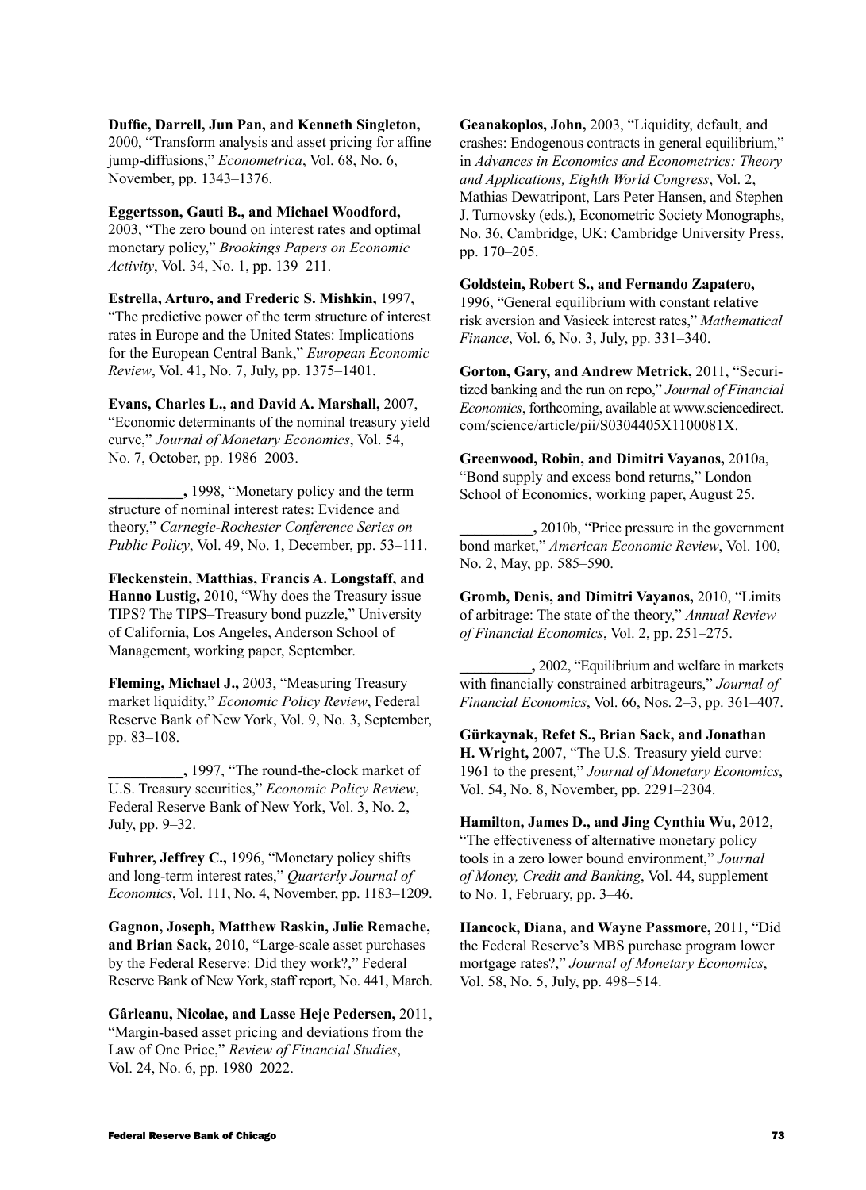**Duffie, Darrell, Jun Pan, and Kenneth Singleton,**

2000, "Transform analysis and asset pricing for affine jump-diffusions," *Econometrica*, Vol. 68, No. 6, November, pp. 1343–1376.

**Eggertsson, Gauti B., and Michael Woodford,**

2003, "The zero bound on interest rates and optimal monetary policy," *Brookings Papers on Economic Activity*, Vol. 34, No. 1, pp. 139–211.

**Estrella, Arturo, and Frederic S. Mishkin,** 1997, "The predictive power of the term structure of interest rates in Europe and the United States: Implications for the European Central Bank," *European Economic Review*, Vol. 41, No. 7, July, pp. 1375–1401.

**Evans, Charles L., and David A. Marshall,** 2007, "Economic determinants of the nominal treasury yield curve," *Journal of Monetary Economics*, Vol. 54, No. 7, October, pp. 1986–2003.

**\_\_\_\_\_\_\_\_\_\_,** 1998, "Monetary policy and the term structure of nominal interest rates: Evidence and theory," *Carnegie-Rochester Conference Series on Public Policy*, Vol. 49, No. 1, December, pp. 53–111.

**Fleckenstein, Matthias, Francis A. Longstaff, and Hanno Lustig,** 2010, "Why does the Treasury issue TIPS? The TIPS–Treasury bond puzzle," University of California, Los Angeles, Anderson School of Management, working paper, September.

**Fleming, Michael J.,** 2003, "Measuring Treasury market liquidity," *Economic Policy Review*, Federal Reserve Bank of New York, Vol. 9, No. 3, September, pp. 83–108.

**\_\_\_\_\_\_\_\_\_\_,** 1997, "The round-the-clock market of U.S. Treasury securities," *Economic Policy Review*, Federal Reserve Bank of New York, Vol. 3, No. 2, July, pp. 9–32.

**Fuhrer, Jeffrey C.,** 1996, "Monetary policy shifts and long-term interest rates," *Quarterly Journal of Economics*, Vol. 111, No. 4, November, pp. 1183–1209.

**Gagnon, Joseph, Matthew Raskin, Julie Remache, and Brian Sack,** 2010, "Large-scale asset purchases by the Federal Reserve: Did they work?," Federal Reserve Bank of New York, staff report, No. 441, March.

**Gârleanu, Nicolae, and Lasse Heje Pedersen,** 2011, "Margin-based asset pricing and deviations from the Law of One Price," *Review of Financial Studies*, Vol. 24, No. 6, pp. 1980–2022.

**Geanakoplos, John,** 2003, "Liquidity, default, and crashes: Endogenous contracts in general equilibrium," in *Advances in Economics and Econometrics: Theory and Applications, Eighth World Congress*, Vol. 2, Mathias Dewatripont, Lars Peter Hansen, and Stephen J. Turnovsky (eds.), Econometric Society Monographs, No. 36, Cambridge, UK: Cambridge University Press, pp. 170–205.

**Goldstein, Robert S., and Fernando Zapatero,**

1996, "General equilibrium with constant relative risk aversion and Vasicek interest rates," *Mathematical Finance*, Vol. 6, No. 3, July, pp. 331–340.

**Gorton, Gary, and Andrew Metrick,** 2011, "Securitized banking and the run on repo," *Journal of Financial Economics*, forthcoming, available at www.sciencedirect. com/science/article/pii/S0304405X1100081X.

**Greenwood, Robin, and Dimitri Vayanos,** 2010a, "Bond supply and excess bond returns," London School of Economics, working paper, August 25.

**\_\_\_\_\_\_\_\_\_\_,** 2010b, "Price pressure in the government bond market," *American Economic Review*, Vol. 100, No. 2, May, pp. 585–590.

**Gromb, Denis, and Dimitri Vayanos,** 2010, "Limits of arbitrage: The state of the theory," *Annual Review of Financial Economics*, Vol. 2, pp. 251–275.

**\_\_\_\_\_\_\_\_\_\_,** 2002, "Equilibrium and welfare in markets with financially constrained arbitrageurs," *Journal of Financial Economics*, Vol. 66, Nos. 2–3, pp. 361–407.

**Gürkaynak, Refet S., Brian Sack, and Jonathan H. Wright,** 2007, "The U.S. Treasury yield curve: 1961 to the present," *Journal of Monetary Economics*, Vol. 54, No. 8, November, pp. 2291–2304.

**Hamilton, James D., and Jing Cynthia Wu,** 2012, "The effectiveness of alternative monetary policy tools in a zero lower bound environment," *Journal of Money, Credit and Banking*, Vol. 44, supplement to No. 1, February, pp. 3–46.

**Hancock, Diana, and Wayne Passmore,** 2011, "Did the Federal Reserve's MBS purchase program lower mortgage rates?," *Journal of Monetary Economics*, Vol. 58, No. 5, July, pp. 498–514.